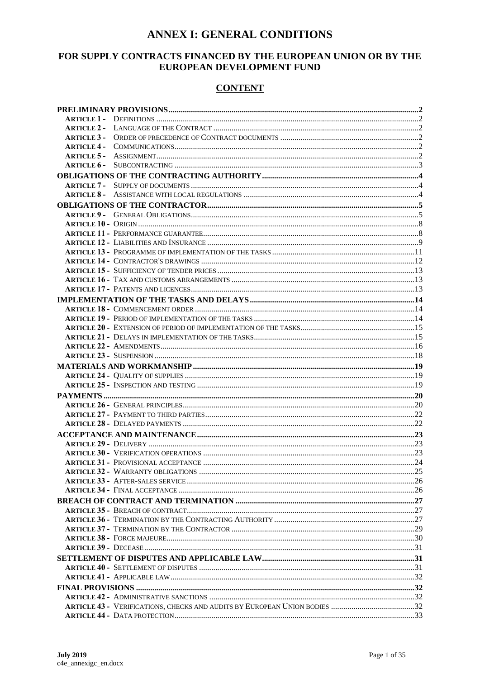# **ANNEX I: GENERAL CONDITIONS**

## FOR SUPPLY CONTRACTS FINANCED BY THE EUROPEAN UNION OR BY THE EUROPEAN DEVELOPMENT FUND

## **CONTENT**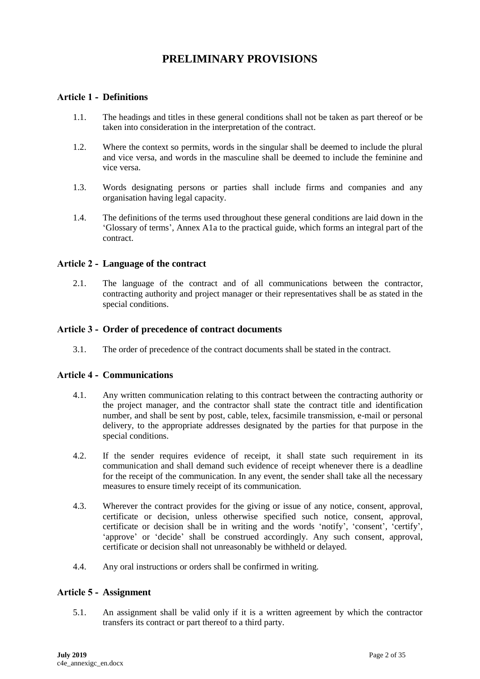# **PRELIMINARY PROVISIONS**

## <span id="page-1-1"></span><span id="page-1-0"></span>**Article 1 - Definitions**

- 1.1. The headings and titles in these general conditions shall not be taken as part thereof or be taken into consideration in the interpretation of the contract.
- 1.2. Where the context so permits, words in the singular shall be deemed to include the plural and vice versa, and words in the masculine shall be deemed to include the feminine and vice versa.
- 1.3. Words designating persons or parties shall include firms and companies and any organisation having legal capacity.
- 1.4. The definitions of the terms used throughout these general conditions are laid down in the 'Glossary of terms', Annex A1a to the practical guide, which forms an integral part of the contract.

### <span id="page-1-2"></span>**Article 2 - Language of the contract**

2.1. The language of the contract and of all communications between the contractor, contracting authority and project manager or their representatives shall be as stated in the special conditions.

#### <span id="page-1-3"></span>**Article 3 - Order of precedence of contract documents**

3.1. The order of precedence of the contract documents shall be stated in the contract.

### <span id="page-1-4"></span>**Article 4 - Communications**

- 4.1. Any written communication relating to this contract between the contracting authority or the project manager, and the contractor shall state the contract title and identification number, and shall be sent by post, cable, telex, facsimile transmission, e-mail or personal delivery, to the appropriate addresses designated by the parties for that purpose in the special conditions.
- 4.2. If the sender requires evidence of receipt, it shall state such requirement in its communication and shall demand such evidence of receipt whenever there is a deadline for the receipt of the communication. In any event, the sender shall take all the necessary measures to ensure timely receipt of its communication.
- 4.3. Wherever the contract provides for the giving or issue of any notice, consent, approval, certificate or decision, unless otherwise specified such notice, consent, approval, certificate or decision shall be in writing and the words 'notify', 'consent', 'certify', 'approve' or 'decide' shall be construed accordingly. Any such consent, approval, certificate or decision shall not unreasonably be withheld or delayed.
- 4.4. Any oral instructions or orders shall be confirmed in writing.

### <span id="page-1-5"></span>**Article 5 - Assignment**

5.1. An assignment shall be valid only if it is a written agreement by which the contractor transfers its contract or part thereof to a third party.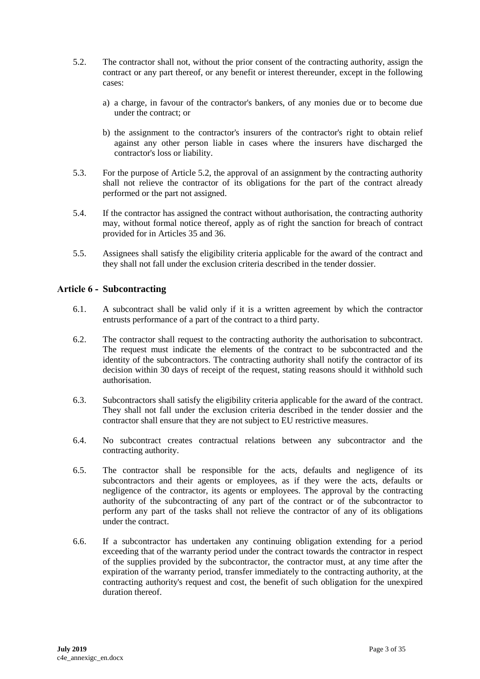- 5.2. The contractor shall not, without the prior consent of the contracting authority, assign the contract or any part thereof, or any benefit or interest thereunder, except in the following cases:
	- a) a charge, in favour of the contractor's bankers, of any monies due or to become due under the contract; or
	- b) the assignment to the contractor's insurers of the contractor's right to obtain relief against any other person liable in cases where the insurers have discharged the contractor's loss or liability.
- 5.3. For the purpose of Article 5.2, the approval of an assignment by the contracting authority shall not relieve the contractor of its obligations for the part of the contract already performed or the part not assigned.
- 5.4. If the contractor has assigned the contract without authorisation, the contracting authority may, without formal notice thereof, apply as of right the sanction for breach of contract provided for in Articles 35 and 36.
- 5.5. Assignees shall satisfy the eligibility criteria applicable for the award of the contract and they shall not fall under the exclusion criteria described in the tender dossier.

#### <span id="page-2-0"></span>**Article 6 - Subcontracting**

- 6.1. A subcontract shall be valid only if it is a written agreement by which the contractor entrusts performance of a part of the contract to a third party.
- 6.2. The contractor shall request to the contracting authority the authorisation to subcontract. The request must indicate the elements of the contract to be subcontracted and the identity of the subcontractors. The contracting authority shall notify the contractor of its decision within 30 days of receipt of the request, stating reasons should it withhold such authorisation.
- 6.3. Subcontractors shall satisfy the eligibility criteria applicable for the award of the contract. They shall not fall under the exclusion criteria described in the tender dossier and the contractor shall ensure that they are not subject to EU restrictive measures.
- 6.4. No subcontract creates contractual relations between any subcontractor and the contracting authority.
- 6.5. The contractor shall be responsible for the acts, defaults and negligence of its subcontractors and their agents or employees, as if they were the acts, defaults or negligence of the contractor, its agents or employees. The approval by the contracting authority of the subcontracting of any part of the contract or of the subcontractor to perform any part of the tasks shall not relieve the contractor of any of its obligations under the contract.
- 6.6. If a subcontractor has undertaken any continuing obligation extending for a period exceeding that of the warranty period under the contract towards the contractor in respect of the supplies provided by the subcontractor, the contractor must, at any time after the expiration of the warranty period, transfer immediately to the contracting authority, at the contracting authority's request and cost, the benefit of such obligation for the unexpired duration thereof.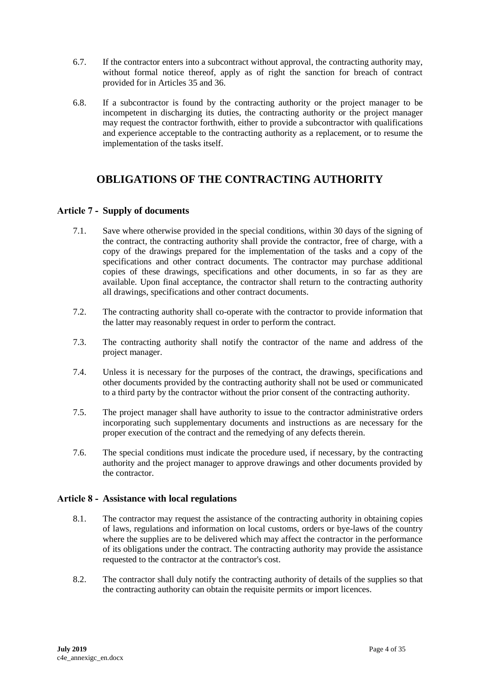- 6.7. If the contractor enters into a subcontract without approval, the contracting authority may, without formal notice thereof, apply as of right the sanction for breach of contract provided for in Articles 35 and 36.
- 6.8. If a subcontractor is found by the contracting authority or the project manager to be incompetent in discharging its duties, the contracting authority or the project manager may request the contractor forthwith, either to provide a subcontractor with qualifications and experience acceptable to the contracting authority as a replacement, or to resume the implementation of the tasks itself.

# <span id="page-3-0"></span>**OBLIGATIONS OF THE CONTRACTING AUTHORITY**

### <span id="page-3-1"></span>**Article 7 - Supply of documents**

- 7.1. Save where otherwise provided in the special conditions, within 30 days of the signing of the contract, the contracting authority shall provide the contractor, free of charge, with a copy of the drawings prepared for the implementation of the tasks and a copy of the specifications and other contract documents. The contractor may purchase additional copies of these drawings, specifications and other documents, in so far as they are available. Upon final acceptance, the contractor shall return to the contracting authority all drawings, specifications and other contract documents.
- 7.2. The contracting authority shall co-operate with the contractor to provide information that the latter may reasonably request in order to perform the contract.
- 7.3. The contracting authority shall notify the contractor of the name and address of the project manager.
- 7.4. Unless it is necessary for the purposes of the contract, the drawings, specifications and other documents provided by the contracting authority shall not be used or communicated to a third party by the contractor without the prior consent of the contracting authority.
- 7.5. The project manager shall have authority to issue to the contractor administrative orders incorporating such supplementary documents and instructions as are necessary for the proper execution of the contract and the remedying of any defects therein.
- 7.6. The special conditions must indicate the procedure used, if necessary, by the contracting authority and the project manager to approve drawings and other documents provided by the contractor.

### <span id="page-3-2"></span>**Article 8 - Assistance with local regulations**

- 8.1. The contractor may request the assistance of the contracting authority in obtaining copies of laws, regulations and information on local customs, orders or bye-laws of the country where the supplies are to be delivered which may affect the contractor in the performance of its obligations under the contract. The contracting authority may provide the assistance requested to the contractor at the contractor's cost.
- 8.2. The contractor shall duly notify the contracting authority of details of the supplies so that the contracting authority can obtain the requisite permits or import licences.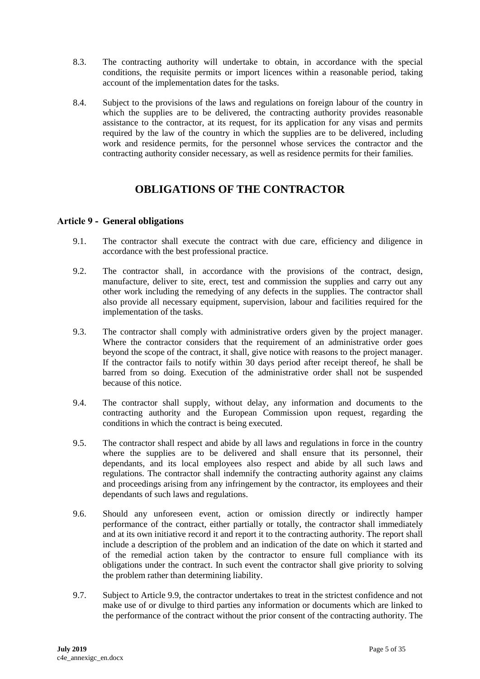- 8.3. The contracting authority will undertake to obtain, in accordance with the special conditions, the requisite permits or import licences within a reasonable period, taking account of the implementation dates for the tasks.
- 8.4. Subject to the provisions of the laws and regulations on foreign labour of the country in which the supplies are to be delivered, the contracting authority provides reasonable assistance to the contractor, at its request, for its application for any visas and permits required by the law of the country in which the supplies are to be delivered, including work and residence permits, for the personnel whose services the contractor and the contracting authority consider necessary, as well as residence permits for their families.

# **OBLIGATIONS OF THE CONTRACTOR**

### <span id="page-4-1"></span><span id="page-4-0"></span>**Article 9 - General obligations**

- 9.1. The contractor shall execute the contract with due care, efficiency and diligence in accordance with the best professional practice.
- 9.2. The contractor shall, in accordance with the provisions of the contract, design, manufacture, deliver to site, erect, test and commission the supplies and carry out any other work including the remedying of any defects in the supplies. The contractor shall also provide all necessary equipment, supervision, labour and facilities required for the implementation of the tasks.
- 9.3. The contractor shall comply with administrative orders given by the project manager. Where the contractor considers that the requirement of an administrative order goes beyond the scope of the contract, it shall, give notice with reasons to the project manager. If the contractor fails to notify within  $30$  days period after receipt thereof, he shall be barred from so doing. Execution of the administrative order shall not be suspended because of this notice.
- 9.4. The contractor shall supply, without delay, any information and documents to the contracting authority and the European Commission upon request, regarding the conditions in which the contract is being executed.
- 9.5. The contractor shall respect and abide by all laws and regulations in force in the country where the supplies are to be delivered and shall ensure that its personnel, their dependants, and its local employees also respect and abide by all such laws and regulations. The contractor shall indemnify the contracting authority against any claims and proceedings arising from any infringement by the contractor, its employees and their dependants of such laws and regulations.
- 9.6. Should any unforeseen event, action or omission directly or indirectly hamper performance of the contract, either partially or totally, the contractor shall immediately and at its own initiative record it and report it to the contracting authority. The report shall include a description of the problem and an indication of the date on which it started and of the remedial action taken by the contractor to ensure full compliance with its obligations under the contract. In such event the contractor shall give priority to solving the problem rather than determining liability.
- 9.7. Subject to Article 9.9, the contractor undertakes to treat in the strictest confidence and not make use of or divulge to third parties any information or documents which are linked to the performance of the contract without the prior consent of the contracting authority. The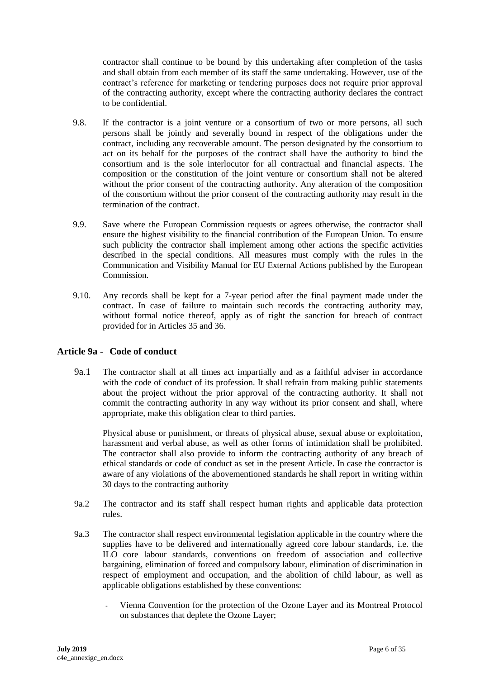contractor shall continue to be bound by this undertaking after completion of the tasks and shall obtain from each member of its staff the same undertaking. However, use of the contract's reference for marketing or tendering purposes does not require prior approval of the contracting authority, except where the contracting authority declares the contract to be confidential.

- 9.8. If the contractor is a joint venture or a consortium of two or more persons, all such persons shall be jointly and severally bound in respect of the obligations under the contract, including any recoverable amount. The person designated by the consortium to act on its behalf for the purposes of the contract shall have the authority to bind the consortium and is the sole interlocutor for all contractual and financial aspects. The composition or the constitution of the joint venture or consortium shall not be altered without the prior consent of the contracting authority. Any alteration of the composition of the consortium without the prior consent of the contracting authority may result in the termination of the contract.
- 9.9. Save where the European Commission requests or agrees otherwise, the contractor shall ensure the highest visibility to the financial contribution of the European Union. To ensure such publicity the contractor shall implement among other actions the specific activities described in the special conditions. All measures must comply with the rules in the Communication and Visibility Manual for EU External Actions published by the European Commission.
- 9.10. Any records shall be kept for a 7-year period after the final payment made under the contract. In case of failure to maintain such records the contracting authority may, without formal notice thereof, apply as of right the sanction for breach of contract provided for in Articles 35 and 36.

## **Article 9a - Code of conduct**

9a.1 The contractor shall at all times act impartially and as a faithful adviser in accordance with the code of conduct of its profession. It shall refrain from making public statements about the project without the prior approval of the contracting authority. It shall not commit the contracting authority in any way without its prior consent and shall, where appropriate, make this obligation clear to third parties.

Physical abuse or punishment, or threats of physical abuse, sexual abuse or exploitation, harassment and verbal abuse, as well as other forms of intimidation shall be prohibited. The contractor shall also provide to inform the contracting authority of any breach of ethical standards or code of conduct as set in the present Article. In case the contractor is aware of any violations of the abovementioned standards he shall report in writing within 30 days to the contracting authority

- 9a.2 The contractor and its staff shall respect human rights and applicable data protection rules.
- 9a.3 The contractor shall respect environmental legislation applicable in the country where the supplies have to be delivered and internationally agreed core labour standards, i.e. the ILO core labour standards, conventions on freedom of association and collective bargaining, elimination of forced and compulsory labour, elimination of discrimination in respect of employment and occupation, and the abolition of child labour, as well as applicable obligations established by these conventions:
	- Vienna Convention for the protection of the Ozone Layer and its Montreal Protocol on substances that deplete the Ozone Layer;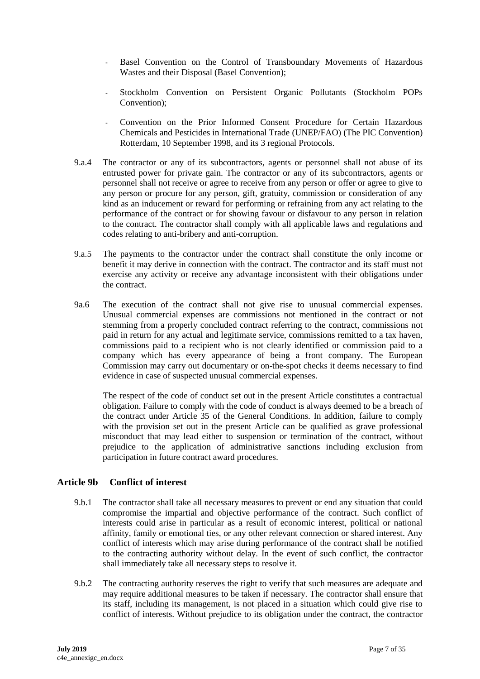- Basel Convention on the Control of Transboundary Movements of Hazardous Wastes and their Disposal (Basel Convention);
- Stockholm Convention on Persistent Organic Pollutants (Stockholm POPs Convention);
- Convention on the Prior Informed Consent Procedure for Certain Hazardous Chemicals and Pesticides in International Trade (UNEP/FAO) (The PIC Convention) Rotterdam, 10 September 1998, and its 3 regional Protocols.
- 9.a.4 The contractor or any of its subcontractors, agents or personnel shall not abuse of its entrusted power for private gain. The contractor or any of its subcontractors, agents or personnel shall not receive or agree to receive from any person or offer or agree to give to any person or procure for any person, gift, gratuity, commission or consideration of any kind as an inducement or reward for performing or refraining from any act relating to the performance of the contract or for showing favour or disfavour to any person in relation to the contract. The contractor shall comply with all applicable laws and regulations and codes relating to anti-bribery and anti-corruption.
- 9.a.5 The payments to the contractor under the contract shall constitute the only income or benefit it may derive in connection with the contract. The contractor and its staff must not exercise any activity or receive any advantage inconsistent with their obligations under the contract.
- 9a.6 The execution of the contract shall not give rise to unusual commercial expenses. Unusual commercial expenses are commissions not mentioned in the contract or not stemming from a properly concluded contract referring to the contract, commissions not paid in return for any actual and legitimate service, commissions remitted to a tax haven, commissions paid to a recipient who is not clearly identified or commission paid to a company which has every appearance of being a front company. The European Commission may carry out documentary or on-the-spot checks it deems necessary to find evidence in case of suspected unusual commercial expenses.

 The respect of the code of conduct set out in the present Article constitutes a contractual obligation. Failure to comply with the code of conduct is always deemed to be a breach of the contract under Article 35 of the General Conditions. In addition, failure to comply with the provision set out in the present Article can be qualified as grave professional misconduct that may lead either to suspension or termination of the contract, without prejudice to the application of administrative sanctions including exclusion from participation in future contract award procedures.

### **Article 9b Conflict of interest**

- 9.b.1 The contractor shall take all necessary measures to prevent or end any situation that could compromise the impartial and objective performance of the contract. Such conflict of interests could arise in particular as a result of economic interest, political or national affinity, family or emotional ties, or any other relevant connection or shared interest. Any conflict of interests which may arise during performance of the contract shall be notified to the contracting authority without delay. In the event of such conflict, the contractor shall immediately take all necessary steps to resolve it.
- 9.b.2 The contracting authority reserves the right to verify that such measures are adequate and may require additional measures to be taken if necessary. The contractor shall ensure that its staff, including its management, is not placed in a situation which could give rise to conflict of interests. Without prejudice to its obligation under the contract, the contractor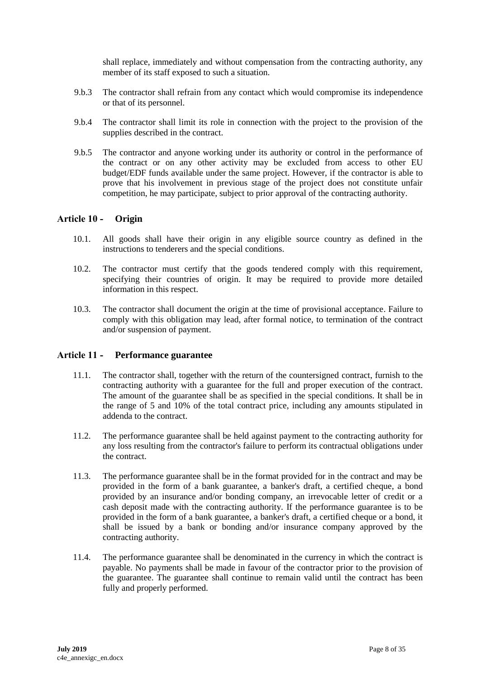shall replace, immediately and without compensation from the contracting authority, any member of its staff exposed to such a situation.

- 9.b.3 The contractor shall refrain from any contact which would compromise its independence or that of its personnel.
- 9.b.4 The contractor shall limit its role in connection with the project to the provision of the supplies described in the contract.
- 9.b.5 The contractor and anyone working under its authority or control in the performance of the contract or on any other activity may be excluded from access to other EU budget/EDF funds available under the same project. However, if the contractor is able to prove that his involvement in previous stage of the project does not constitute unfair competition, he may participate, subject to prior approval of the contracting authority.

#### <span id="page-7-0"></span>**Article 10 - Origin**

- 10.1. All goods shall have their origin in any eligible source country as defined in the instructions to tenderers and the special conditions.
- 10.2. The contractor must certify that the goods tendered comply with this requirement, specifying their countries of origin. It may be required to provide more detailed information in this respect.
- 10.3. The contractor shall document the origin at the time of provisional acceptance. Failure to comply with this obligation may lead, after formal notice, to termination of the contract and/or suspension of payment.

#### <span id="page-7-1"></span>**Article 11 - Performance guarantee**

- 11.1. The contractor shall, together with the return of the countersigned contract, furnish to the contracting authority with a guarantee for the full and proper execution of the contract. The amount of the guarantee shall be as specified in the special conditions. It shall be in the range of 5 and 10% of the total contract price, including any amounts stipulated in addenda to the contract.
- 11.2. The performance guarantee shall be held against payment to the contracting authority for any loss resulting from the contractor's failure to perform its contractual obligations under the contract.
- 11.3. The performance guarantee shall be in the format provided for in the contract and may be provided in the form of a bank guarantee, a banker's draft, a certified cheque, a bond provided by an insurance and/or bonding company, an irrevocable letter of credit or a cash deposit made with the contracting authority. If the performance guarantee is to be provided in the form of a bank guarantee, a banker's draft, a certified cheque or a bond, it shall be issued by a bank or bonding and/or insurance company approved by the contracting authority.
- 11.4. The performance guarantee shall be denominated in the currency in which the contract is payable. No payments shall be made in favour of the contractor prior to the provision of the guarantee. The guarantee shall continue to remain valid until the contract has been fully and properly performed.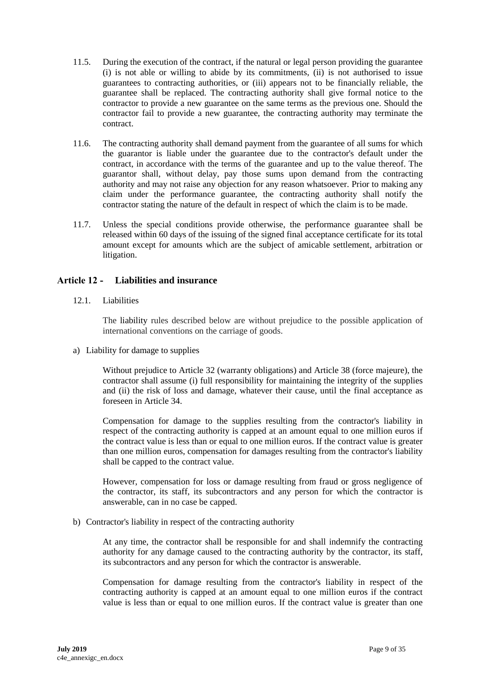- 11.5. During the execution of the contract, if the natural or legal person providing the guarantee (i) is not able or willing to abide by its commitments, (ii) is not authorised to issue guarantees to contracting authorities, or (iii) appears not to be financially reliable, the guarantee shall be replaced. The contracting authority shall give formal notice to the contractor to provide a new guarantee on the same terms as the previous one. Should the contractor fail to provide a new guarantee, the contracting authority may terminate the contract.
- 11.6. The contracting authority shall demand payment from the guarantee of all sums for which the guarantor is liable under the guarantee due to the contractor's default under the contract, in accordance with the terms of the guarantee and up to the value thereof. The guarantor shall, without delay, pay those sums upon demand from the contracting authority and may not raise any objection for any reason whatsoever. Prior to making any claim under the performance guarantee, the contracting authority shall notify the contractor stating the nature of the default in respect of which the claim is to be made.
- 11.7. Unless the special conditions provide otherwise, the performance guarantee shall be released within 60 days of the issuing of the signed final acceptance certificate for its total amount except for amounts which are the subject of amicable settlement, arbitration or litigation.

#### <span id="page-8-0"></span>**Article 12 - Liabilities and insurance**

12.1. Liabilities

The liability rules described below are without prejudice to the possible application of international conventions on the carriage of goods.

a) Liability for damage to supplies

Without prejudice to Article 32 (warranty obligations) and Article 38 (force majeure), the contractor shall assume (i) full responsibility for maintaining the integrity of the supplies and (ii) the risk of loss and damage, whatever their cause, until the final acceptance as foreseen in Article 34.

Compensation for damage to the supplies resulting from the contractor's liability in respect of the contracting authority is capped at an amount equal to one million euros if the contract value is less than or equal to one million euros. If the contract value is greater than one million euros, compensation for damages resulting from the contractor's liability shall be capped to the contract value.

However, compensation for loss or damage resulting from fraud or gross negligence of the contractor, its staff, its subcontractors and any person for which the contractor is answerable, can in no case be capped.

b) Contractor's liability in respect of the contracting authority

At any time, the contractor shall be responsible for and shall indemnify the contracting authority for any damage caused to the contracting authority by the contractor, its staff, its subcontractors and any person for which the contractor is answerable.

Compensation for damage resulting from the contractor's liability in respect of the contracting authority is capped at an amount equal to one million euros if the contract value is less than or equal to one million euros. If the contract value is greater than one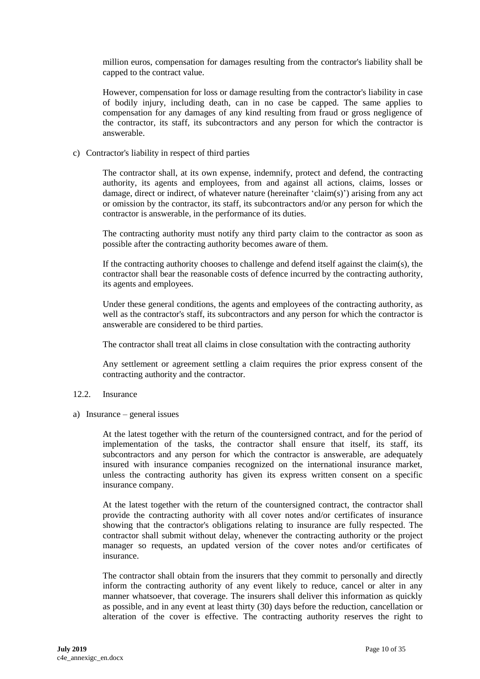million euros, compensation for damages resulting from the contractor's liability shall be capped to the contract value.

However, compensation for loss or damage resulting from the contractor's liability in case of bodily injury, including death, can in no case be capped. The same applies to compensation for any damages of any kind resulting from fraud or gross negligence of the contractor, its staff, its subcontractors and any person for which the contractor is answerable.

c) Contractor's liability in respect of third parties

The contractor shall, at its own expense, indemnify, protect and defend, the contracting authority, its agents and employees, from and against all actions, claims, losses or damage, direct or indirect, of whatever nature (hereinafter 'claim(s)') arising from any act or omission by the contractor, its staff, its subcontractors and/or any person for which the contractor is answerable, in the performance of its duties.

The contracting authority must notify any third party claim to the contractor as soon as possible after the contracting authority becomes aware of them.

If the contracting authority chooses to challenge and defend itself against the claim(s), the contractor shall bear the reasonable costs of defence incurred by the contracting authority, its agents and employees.

Under these general conditions, the agents and employees of the contracting authority, as well as the contractor's staff, its subcontractors and any person for which the contractor is answerable are considered to be third parties.

The contractor shall treat all claims in close consultation with the contracting authority

Any settlement or agreement settling a claim requires the prior express consent of the contracting authority and the contractor.

- 12.2. Insurance
- a) Insurance general issues

At the latest together with the return of the countersigned contract, and for the period of implementation of the tasks, the contractor shall ensure that itself, its staff, its subcontractors and any person for which the contractor is answerable, are adequately insured with insurance companies recognized on the international insurance market, unless the contracting authority has given its express written consent on a specific insurance company.

At the latest together with the return of the countersigned contract, the contractor shall provide the contracting authority with all cover notes and/or certificates of insurance showing that the contractor's obligations relating to insurance are fully respected. The contractor shall submit without delay, whenever the contracting authority or the project manager so requests, an updated version of the cover notes and/or certificates of insurance.

The contractor shall obtain from the insurers that they commit to personally and directly inform the contracting authority of any event likely to reduce, cancel or alter in any manner whatsoever, that coverage. The insurers shall deliver this information as quickly as possible, and in any event at least thirty (30) days before the reduction, cancellation or alteration of the cover is effective. The contracting authority reserves the right to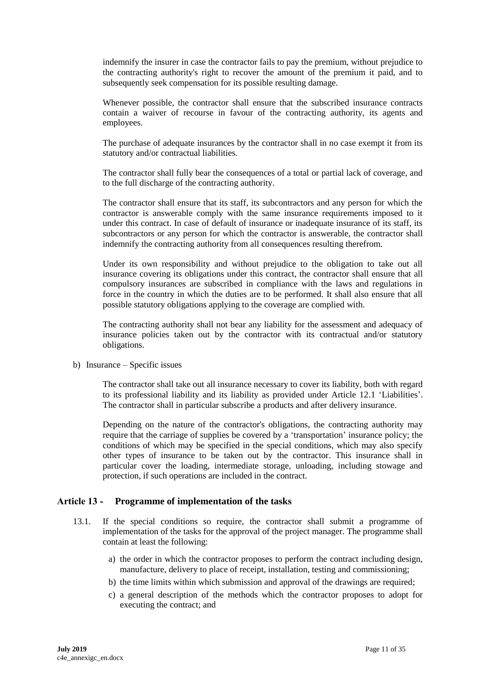indemnify the insurer in case the contractor fails to pay the premium, without prejudice to the contracting authority's right to recover the amount of the premium it paid, and to subsequently seek compensation for its possible resulting damage.

Whenever possible, the contractor shall ensure that the subscribed insurance contracts contain a waiver of recourse in favour of the contracting authority, its agents and employees.

The purchase of adequate insurances by the contractor shall in no case exempt it from its statutory and/or contractual liabilities.

The contractor shall fully bear the consequences of a total or partial lack of coverage, and to the full discharge of the contracting authority.

The contractor shall ensure that its staff, its subcontractors and any person for which the contractor is answerable comply with the same insurance requirements imposed to it under this contract. In case of default of insurance or inadequate insurance of its staff, its subcontractors or any person for which the contractor is answerable, the contractor shall indemnify the contracting authority from all consequences resulting therefrom.

Under its own responsibility and without prejudice to the obligation to take out all insurance covering its obligations under this contract, the contractor shall ensure that all compulsory insurances are subscribed in compliance with the laws and regulations in force in the country in which the duties are to be performed. It shall also ensure that all possible statutory obligations applying to the coverage are complied with.

The contracting authority shall not bear any liability for the assessment and adequacy of insurance policies taken out by the contractor with its contractual and/or statutory obligations.

b) Insurance – Specific issues

The contractor shall take out all insurance necessary to cover its liability, both with regard to its professional liability and its liability as provided under Article 12.1 'Liabilities'. The contractor shall in particular subscribe a products and after delivery insurance.

Depending on the nature of the contractor's obligations, the contracting authority may require that the carriage of supplies be covered by a 'transportation' insurance policy; the conditions of which may be specified in the special conditions, which may also specify other types of insurance to be taken out by the contractor. This insurance shall in particular cover the loading, intermediate storage, unloading, including stowage and protection, if such operations are included in the contract.

### <span id="page-10-0"></span>**Article 13 - Programme of implementation of the tasks**

- 13.1. If the special conditions so require, the contractor shall submit a programme of implementation of the tasks for the approval of the project manager. The programme shall contain at least the following:
	- a) the order in which the contractor proposes to perform the contract including design, manufacture, delivery to place of receipt, installation, testing and commissioning;
	- b) the time limits within which submission and approval of the drawings are required;
	- c) a general description of the methods which the contractor proposes to adopt for executing the contract; and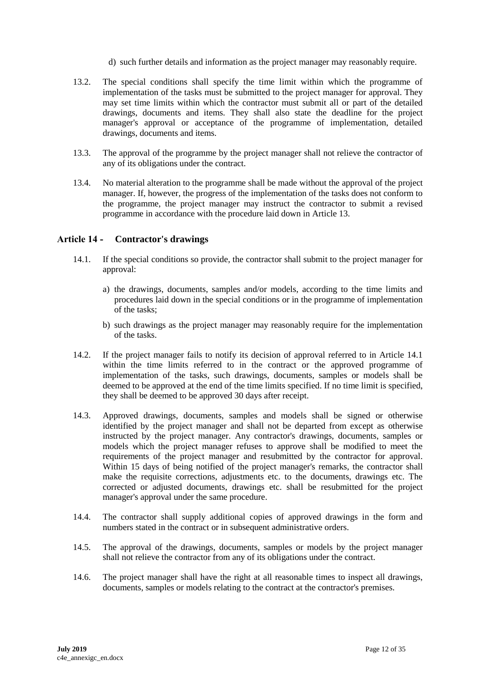- d) such further details and information as the project manager may reasonably require.
- 13.2. The special conditions shall specify the time limit within which the programme of implementation of the tasks must be submitted to the project manager for approval. They may set time limits within which the contractor must submit all or part of the detailed drawings, documents and items. They shall also state the deadline for the project manager's approval or acceptance of the programme of implementation, detailed drawings, documents and items.
- 13.3. The approval of the programme by the project manager shall not relieve the contractor of any of its obligations under the contract.
- 13.4. No material alteration to the programme shall be made without the approval of the project manager. If, however, the progress of the implementation of the tasks does not conform to the programme, the project manager may instruct the contractor to submit a revised programme in accordance with the procedure laid down in Article 13.

## <span id="page-11-0"></span>**Article 14 - Contractor's drawings**

- 14.1. If the special conditions so provide, the contractor shall submit to the project manager for approval:
	- a) the drawings, documents, samples and/or models, according to the time limits and procedures laid down in the special conditions or in the programme of implementation of the tasks;
	- b) such drawings as the project manager may reasonably require for the implementation of the tasks.
- 14.2. If the project manager fails to notify its decision of approval referred to in Article 14.1 within the time limits referred to in the contract or the approved programme of implementation of the tasks, such drawings, documents, samples or models shall be deemed to be approved at the end of the time limits specified. If no time limit is specified, they shall be deemed to be approved 30 days after receipt.
- 14.3. Approved drawings, documents, samples and models shall be signed or otherwise identified by the project manager and shall not be departed from except as otherwise instructed by the project manager. Any contractor's drawings, documents, samples or models which the project manager refuses to approve shall be modified to meet the requirements of the project manager and resubmitted by the contractor for approval. Within 15 days of being notified of the project manager's remarks, the contractor shall make the requisite corrections, adjustments etc. to the documents, drawings etc. The corrected or adjusted documents, drawings etc. shall be resubmitted for the project manager's approval under the same procedure.
- 14.4. The contractor shall supply additional copies of approved drawings in the form and numbers stated in the contract or in subsequent administrative orders.
- 14.5. The approval of the drawings, documents, samples or models by the project manager shall not relieve the contractor from any of its obligations under the contract.
- 14.6. The project manager shall have the right at all reasonable times to inspect all drawings, documents, samples or models relating to the contract at the contractor's premises.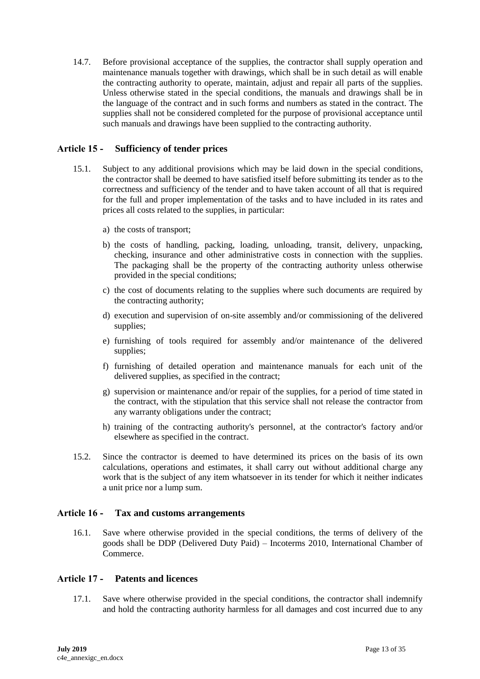14.7. Before provisional acceptance of the supplies, the contractor shall supply operation and maintenance manuals together with drawings, which shall be in such detail as will enable the contracting authority to operate, maintain, adjust and repair all parts of the supplies. Unless otherwise stated in the special conditions, the manuals and drawings shall be in the language of the contract and in such forms and numbers as stated in the contract. The supplies shall not be considered completed for the purpose of provisional acceptance until such manuals and drawings have been supplied to the contracting authority.

### <span id="page-12-0"></span>**Article 15 - Sufficiency of tender prices**

- 15.1. Subject to any additional provisions which may be laid down in the special conditions, the contractor shall be deemed to have satisfied itself before submitting its tender as to the correctness and sufficiency of the tender and to have taken account of all that is required for the full and proper implementation of the tasks and to have included in its rates and prices all costs related to the supplies, in particular:
	- a) the costs of transport;
	- b) the costs of handling, packing, loading, unloading, transit, delivery, unpacking, checking, insurance and other administrative costs in connection with the supplies. The packaging shall be the property of the contracting authority unless otherwise provided in the special conditions;
	- c) the cost of documents relating to the supplies where such documents are required by the contracting authority;
	- d) execution and supervision of on-site assembly and/or commissioning of the delivered supplies;
	- e) furnishing of tools required for assembly and/or maintenance of the delivered supplies;
	- f) furnishing of detailed operation and maintenance manuals for each unit of the delivered supplies, as specified in the contract;
	- g) supervision or maintenance and/or repair of the supplies, for a period of time stated in the contract, with the stipulation that this service shall not release the contractor from any warranty obligations under the contract;
	- h) training of the contracting authority's personnel, at the contractor's factory and/or elsewhere as specified in the contract.
- 15.2. Since the contractor is deemed to have determined its prices on the basis of its own calculations, operations and estimates, it shall carry out without additional charge any work that is the subject of any item whatsoever in its tender for which it neither indicates a unit price nor a lump sum.

### <span id="page-12-1"></span>**Article 16 - Tax and customs arrangements**

16.1. Save where otherwise provided in the special conditions, the terms of delivery of the goods shall be DDP (Delivered Duty Paid) – Incoterms 2010, International Chamber of Commerce.

## <span id="page-12-2"></span>**Article 17 - Patents and licences**

17.1. Save where otherwise provided in the special conditions, the contractor shall indemnify and hold the contracting authority harmless for all damages and cost incurred due to any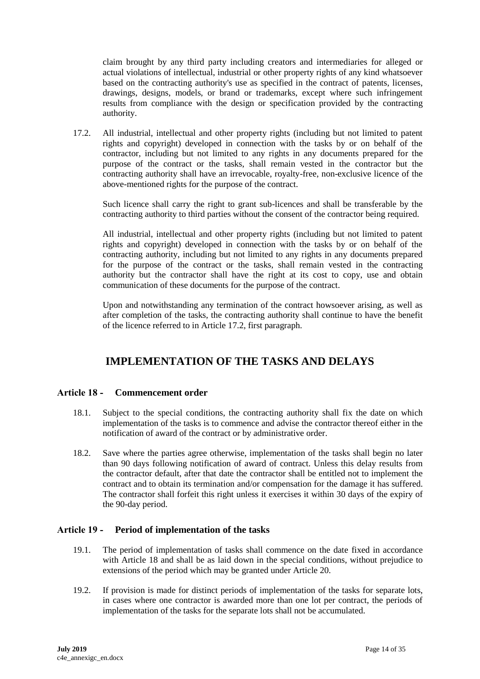claim brought by any third party including creators and intermediaries for alleged or actual violations of intellectual, industrial or other property rights of any kind whatsoever based on the contracting authority's use as specified in the contract of patents, licenses, drawings, designs, models, or brand or trademarks, except where such infringement results from compliance with the design or specification provided by the contracting authority.

17.2. All industrial, intellectual and other property rights (including but not limited to patent rights and copyright) developed in connection with the tasks by or on behalf of the contractor, including but not limited to any rights in any documents prepared for the purpose of the contract or the tasks, shall remain vested in the contractor but the contracting authority shall have an irrevocable, royalty-free, non-exclusive licence of the above-mentioned rights for the purpose of the contract.

Such licence shall carry the right to grant sub-licences and shall be transferable by the contracting authority to third parties without the consent of the contractor being required.

All industrial, intellectual and other property rights (including but not limited to patent rights and copyright) developed in connection with the tasks by or on behalf of the contracting authority, including but not limited to any rights in any documents prepared for the purpose of the contract or the tasks, shall remain vested in the contracting authority but the contractor shall have the right at its cost to copy, use and obtain communication of these documents for the purpose of the contract.

Upon and notwithstanding any termination of the contract howsoever arising, as well as after completion of the tasks, the contracting authority shall continue to have the benefit of the licence referred to in Article 17.2, first paragraph.

# **IMPLEMENTATION OF THE TASKS AND DELAYS**

### <span id="page-13-1"></span><span id="page-13-0"></span>**Article 18 - Commencement order**

- 18.1. Subject to the special conditions, the contracting authority shall fix the date on which implementation of the tasks is to commence and advise the contractor thereof either in the notification of award of the contract or by administrative order.
- 18.2. Save where the parties agree otherwise, implementation of the tasks shall begin no later than 90 days following notification of award of contract. Unless this delay results from the contractor default, after that date the contractor shall be entitled not to implement the contract and to obtain its termination and/or compensation for the damage it has suffered. The contractor shall forfeit this right unless it exercises it within 30 days of the expiry of the 90-day period.

### <span id="page-13-2"></span>**Article 19 - Period of implementation of the tasks**

- 19.1. The period of implementation of tasks shall commence on the date fixed in accordance with Article 18 and shall be as laid down in the special conditions, without prejudice to extensions of the period which may be granted under Article 20.
- 19.2. If provision is made for distinct periods of implementation of the tasks for separate lots, in cases where one contractor is awarded more than one lot per contract, the periods of implementation of the tasks for the separate lots shall not be accumulated.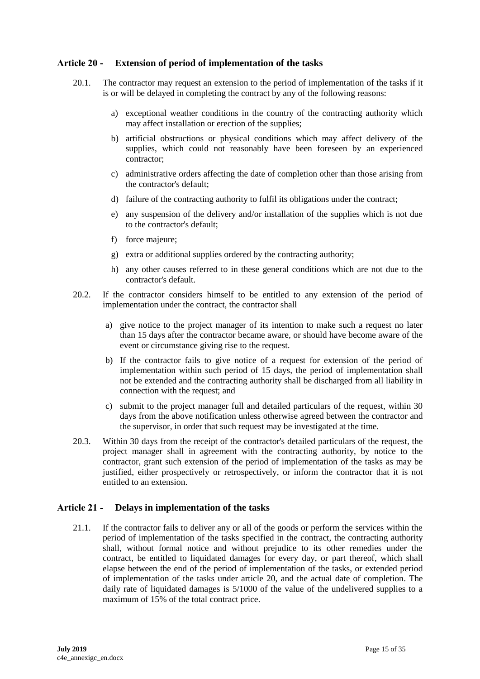### <span id="page-14-0"></span>**Article 20 - Extension of period of implementation of the tasks**

- 20.1. The contractor may request an extension to the period of implementation of the tasks if it is or will be delayed in completing the contract by any of the following reasons:
	- a) exceptional weather conditions in the country of the contracting authority which may affect installation or erection of the supplies;
	- b) artificial obstructions or physical conditions which may affect delivery of the supplies, which could not reasonably have been foreseen by an experienced contractor;
	- c) administrative orders affecting the date of completion other than those arising from the contractor's default;
	- d) failure of the contracting authority to fulfil its obligations under the contract;
	- e) any suspension of the delivery and/or installation of the supplies which is not due to the contractor's default;
	- f) force majeure;
	- g) extra or additional supplies ordered by the contracting authority;
	- h) any other causes referred to in these general conditions which are not due to the contractor's default.
- 20.2. If the contractor considers himself to be entitled to any extension of the period of implementation under the contract, the contractor shall
	- a) give notice to the project manager of its intention to make such a request no later than 15 days after the contractor became aware, or should have become aware of the event or circumstance giving rise to the request.
	- b) If the contractor fails to give notice of a request for extension of the period of implementation within such period of 15 days, the period of implementation shall not be extended and the contracting authority shall be discharged from all liability in connection with the request; and
	- c) submit to the project manager full and detailed particulars of the request, within 30 days from the above notification unless otherwise agreed between the contractor and the supervisor, in order that such request may be investigated at the time.
- 20.3. Within 30 days from the receipt of the contractor's detailed particulars of the request, the project manager shall in agreement with the contracting authority, by notice to the contractor, grant such extension of the period of implementation of the tasks as may be justified, either prospectively or retrospectively, or inform the contractor that it is not entitled to an extension.

### <span id="page-14-1"></span>**Article 21 - Delays in implementation of the tasks**

21.1. If the contractor fails to deliver any or all of the goods or perform the services within the period of implementation of the tasks specified in the contract, the contracting authority shall, without formal notice and without prejudice to its other remedies under the contract, be entitled to liquidated damages for every day, or part thereof, which shall elapse between the end of the period of implementation of the tasks, or extended period of implementation of the tasks under article 20, and the actual date of completion. The daily rate of liquidated damages is 5/1000 of the value of the undelivered supplies to a maximum of 15% of the total contract price.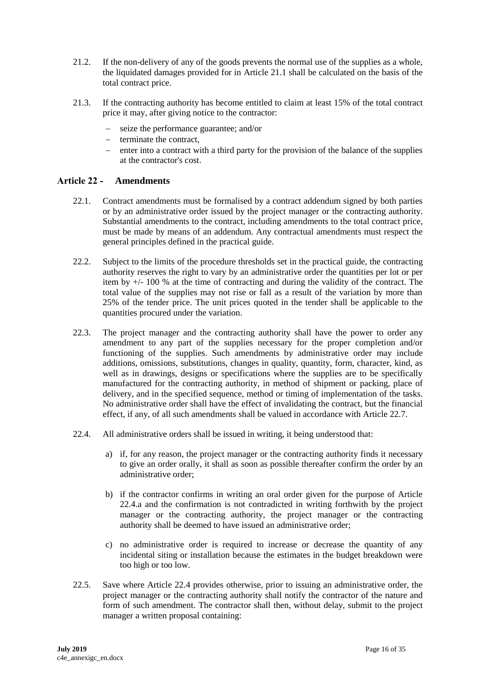- 21.2. If the non-delivery of any of the goods prevents the normal use of the supplies as a whole, the liquidated damages provided for in Article 21.1 shall be calculated on the basis of the total contract price.
- 21.3. If the contracting authority has become entitled to claim at least 15% of the total contract price it may, after giving notice to the contractor:
	- seize the performance guarantee; and/or
	- $-$  terminate the contract,
	- enter into a contract with a third party for the provision of the balance of the supplies at the contractor's cost.

#### <span id="page-15-0"></span>**Article 22 - Amendments**

- 22.1. Contract amendments must be formalised by a contract addendum signed by both parties or by an administrative order issued by the project manager or the contracting authority. Substantial amendments to the contract, including amendments to the total contract price, must be made by means of an addendum. Any contractual amendments must respect the general principles defined in the practical guide.
- 22.2. Subject to the limits of the procedure thresholds set in the practical guide, the contracting authority reserves the right to vary by an administrative order the quantities per lot or per item by +/- 100 % at the time of contracting and during the validity of the contract. The total value of the supplies may not rise or fall as a result of the variation by more than 25% of the tender price. The unit prices quoted in the tender shall be applicable to the quantities procured under the variation.
- 22.3. The project manager and the contracting authority shall have the power to order any amendment to any part of the supplies necessary for the proper completion and/or functioning of the supplies. Such amendments by administrative order may include additions, omissions, substitutions, changes in quality, quantity, form, character, kind, as well as in drawings, designs or specifications where the supplies are to be specifically manufactured for the contracting authority, in method of shipment or packing, place of delivery, and in the specified sequence, method or timing of implementation of the tasks. No administrative order shall have the effect of invalidating the contract, but the financial effect, if any, of all such amendments shall be valued in accordance with Article 22.7.
- 22.4. All administrative orders shall be issued in writing, it being understood that:
	- a) if, for any reason, the project manager or the contracting authority finds it necessary to give an order orally, it shall as soon as possible thereafter confirm the order by an administrative order;
	- b) if the contractor confirms in writing an oral order given for the purpose of Article 22.4.a and the confirmation is not contradicted in writing forthwith by the project manager or the contracting authority, the project manager or the contracting authority shall be deemed to have issued an administrative order;
	- c) no administrative order is required to increase or decrease the quantity of any incidental siting or installation because the estimates in the budget breakdown were too high or too low.
- 22.5. Save where Article 22.4 provides otherwise, prior to issuing an administrative order, the project manager or the contracting authority shall notify the contractor of the nature and form of such amendment. The contractor shall then, without delay, submit to the project manager a written proposal containing: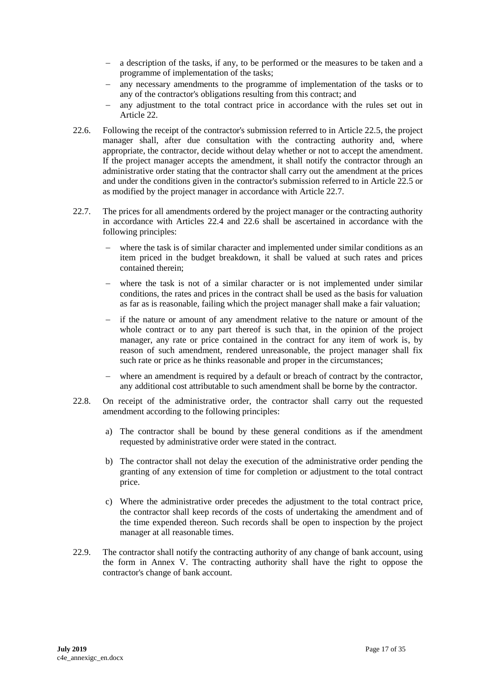- a description of the tasks, if any, to be performed or the measures to be taken and a programme of implementation of the tasks;
- any necessary amendments to the programme of implementation of the tasks or to any of the contractor's obligations resulting from this contract; and
- any adjustment to the total contract price in accordance with the rules set out in Article 22.
- 22.6. Following the receipt of the contractor's submission referred to in Article 22.5, the project manager shall, after due consultation with the contracting authority and, where appropriate, the contractor, decide without delay whether or not to accept the amendment. If the project manager accepts the amendment, it shall notify the contractor through an administrative order stating that the contractor shall carry out the amendment at the prices and under the conditions given in the contractor's submission referred to in Article 22.5 or as modified by the project manager in accordance with Article 22.7.
- 22.7. The prices for all amendments ordered by the project manager or the contracting authority in accordance with Articles 22.4 and 22.6 shall be ascertained in accordance with the following principles:
	- where the task is of similar character and implemented under similar conditions as an item priced in the budget breakdown, it shall be valued at such rates and prices contained therein;
	- where the task is not of a similar character or is not implemented under similar conditions, the rates and prices in the contract shall be used as the basis for valuation as far as is reasonable, failing which the project manager shall make a fair valuation;
	- if the nature or amount of any amendment relative to the nature or amount of the whole contract or to any part thereof is such that, in the opinion of the project manager, any rate or price contained in the contract for any item of work is, by reason of such amendment, rendered unreasonable, the project manager shall fix such rate or price as he thinks reasonable and proper in the circumstances;
	- where an amendment is required by a default or breach of contract by the contractor, any additional cost attributable to such amendment shall be borne by the contractor.
- 22.8. On receipt of the administrative order, the contractor shall carry out the requested amendment according to the following principles:
	- a) The contractor shall be bound by these general conditions as if the amendment requested by administrative order were stated in the contract.
	- b) The contractor shall not delay the execution of the administrative order pending the granting of any extension of time for completion or adjustment to the total contract price.
	- c) Where the administrative order precedes the adjustment to the total contract price, the contractor shall keep records of the costs of undertaking the amendment and of the time expended thereon. Such records shall be open to inspection by the project manager at all reasonable times.
- 22.9. The contractor shall notify the contracting authority of any change of bank account, using the form in Annex V. The contracting authority shall have the right to oppose the contractor's change of bank account.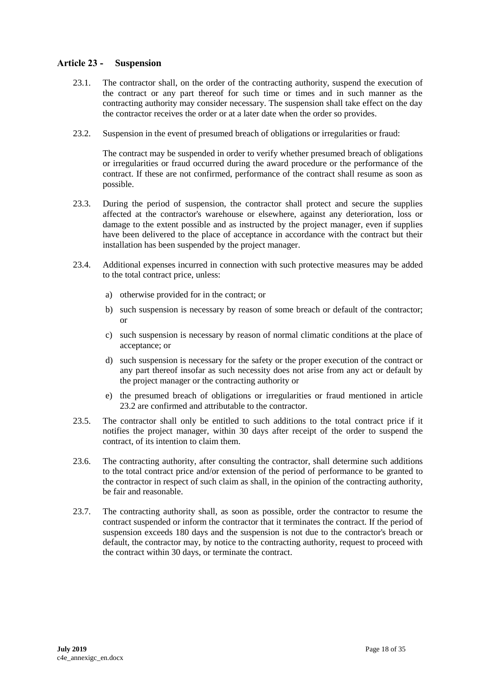## <span id="page-17-0"></span>**Article 23 - Suspension**

- 23.1. The contractor shall, on the order of the contracting authority, suspend the execution of the contract or any part thereof for such time or times and in such manner as the contracting authority may consider necessary. The suspension shall take effect on the day the contractor receives the order or at a later date when the order so provides.
- 23.2. Suspension in the event of presumed breach of obligations or irregularities or fraud:

The contract may be suspended in order to verify whether presumed breach of obligations or irregularities or fraud occurred during the award procedure or the performance of the contract. If these are not confirmed, performance of the contract shall resume as soon as possible.

- 23.3. During the period of suspension, the contractor shall protect and secure the supplies affected at the contractor's warehouse or elsewhere, against any deterioration, loss or damage to the extent possible and as instructed by the project manager, even if supplies have been delivered to the place of acceptance in accordance with the contract but their installation has been suspended by the project manager.
- 23.4. Additional expenses incurred in connection with such protective measures may be added to the total contract price, unless:
	- a) otherwise provided for in the contract; or
	- b) such suspension is necessary by reason of some breach or default of the contractor; or
	- c) such suspension is necessary by reason of normal climatic conditions at the place of acceptance; or
	- d) such suspension is necessary for the safety or the proper execution of the contract or any part thereof insofar as such necessity does not arise from any act or default by the project manager or the contracting authority or
	- e) the presumed breach of obligations or irregularities or fraud mentioned in article 23.2 are confirmed and attributable to the contractor.
- 23.5. The contractor shall only be entitled to such additions to the total contract price if it notifies the project manager, within 30 days after receipt of the order to suspend the contract, of its intention to claim them.
- 23.6. The contracting authority, after consulting the contractor, shall determine such additions to the total contract price and/or extension of the period of performance to be granted to the contractor in respect of such claim as shall, in the opinion of the contracting authority, be fair and reasonable.
- 23.7. The contracting authority shall, as soon as possible, order the contractor to resume the contract suspended or inform the contractor that it terminates the contract. If the period of suspension exceeds 180 days and the suspension is not due to the contractor's breach or default, the contractor may, by notice to the contracting authority, request to proceed with the contract within 30 days, or terminate the contract.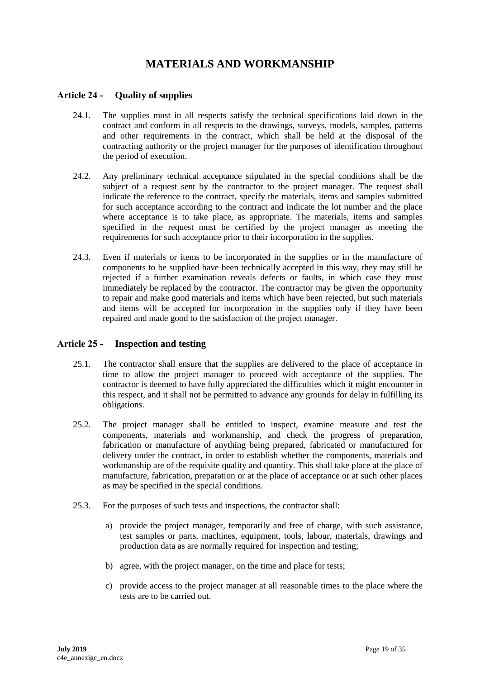# **MATERIALS AND WORKMANSHIP**

## <span id="page-18-1"></span><span id="page-18-0"></span>**Article 24 - Quality of supplies**

- 24.1. The supplies must in all respects satisfy the technical specifications laid down in the contract and conform in all respects to the drawings, surveys, models, samples, patterns and other requirements in the contract, which shall be held at the disposal of the contracting authority or the project manager for the purposes of identification throughout the period of execution.
- 24.2. Any preliminary technical acceptance stipulated in the special conditions shall be the subject of a request sent by the contractor to the project manager. The request shall indicate the reference to the contract, specify the materials, items and samples submitted for such acceptance according to the contract and indicate the lot number and the place where acceptance is to take place, as appropriate. The materials, items and samples specified in the request must be certified by the project manager as meeting the requirements for such acceptance prior to their incorporation in the supplies.
- 24.3. Even if materials or items to be incorporated in the supplies or in the manufacture of components to be supplied have been technically accepted in this way, they may still be rejected if a further examination reveals defects or faults, in which case they must immediately be replaced by the contractor. The contractor may be given the opportunity to repair and make good materials and items which have been rejected, but such materials and items will be accepted for incorporation in the supplies only if they have been repaired and made good to the satisfaction of the project manager.

### <span id="page-18-2"></span>**Article 25 - Inspection and testing**

- 25.1. The contractor shall ensure that the supplies are delivered to the place of acceptance in time to allow the project manager to proceed with acceptance of the supplies. The contractor is deemed to have fully appreciated the difficulties which it might encounter in this respect, and it shall not be permitted to advance any grounds for delay in fulfilling its obligations.
- 25.2. The project manager shall be entitled to inspect, examine measure and test the components, materials and workmanship, and check the progress of preparation, fabrication or manufacture of anything being prepared, fabricated or manufactured for delivery under the contract, in order to establish whether the components, materials and workmanship are of the requisite quality and quantity. This shall take place at the place of manufacture, fabrication, preparation or at the place of acceptance or at such other places as may be specified in the special conditions.
- 25.3. For the purposes of such tests and inspections, the contractor shall:
	- a) provide the project manager, temporarily and free of charge, with such assistance, test samples or parts, machines, equipment, tools, labour, materials, drawings and production data as are normally required for inspection and testing;
	- b) agree, with the project manager, on the time and place for tests;
	- c) provide access to the project manager at all reasonable times to the place where the tests are to be carried out.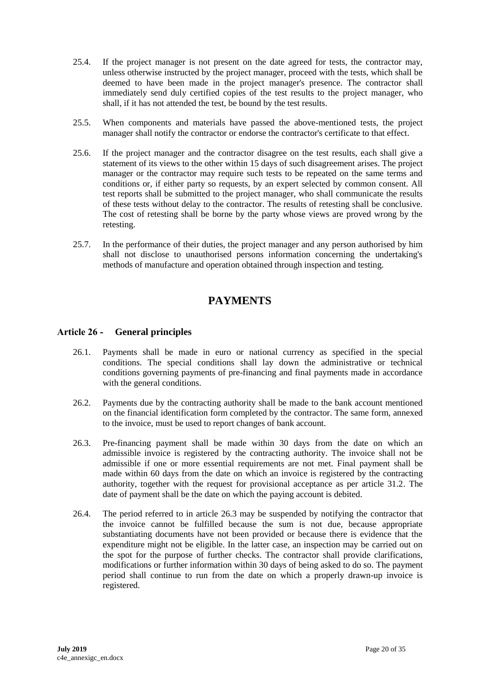- 25.4. If the project manager is not present on the date agreed for tests, the contractor may, unless otherwise instructed by the project manager, proceed with the tests, which shall be deemed to have been made in the project manager's presence. The contractor shall immediately send duly certified copies of the test results to the project manager, who shall, if it has not attended the test, be bound by the test results.
- 25.5. When components and materials have passed the above-mentioned tests, the project manager shall notify the contractor or endorse the contractor's certificate to that effect.
- 25.6. If the project manager and the contractor disagree on the test results, each shall give a statement of its views to the other within 15 days of such disagreement arises. The project manager or the contractor may require such tests to be repeated on the same terms and conditions or, if either party so requests, by an expert selected by common consent. All test reports shall be submitted to the project manager, who shall communicate the results of these tests without delay to the contractor. The results of retesting shall be conclusive. The cost of retesting shall be borne by the party whose views are proved wrong by the retesting.
- <span id="page-19-0"></span>25.7. In the performance of their duties, the project manager and any person authorised by him shall not disclose to unauthorised persons information concerning the undertaking's methods of manufacture and operation obtained through inspection and testing.

# **PAYMENTS**

### <span id="page-19-1"></span>**Article 26 - General principles**

- 26.1. Payments shall be made in euro or national currency as specified in the special conditions. The special conditions shall lay down the administrative or technical conditions governing payments of pre-financing and final payments made in accordance with the general conditions.
- 26.2. Payments due by the contracting authority shall be made to the bank account mentioned on the financial identification form completed by the contractor. The same form, annexed to the invoice, must be used to report changes of bank account.
- 26.3. Pre-financing payment shall be made within 30 days from the date on which an admissible invoice is registered by the contracting authority. The invoice shall not be admissible if one or more essential requirements are not met. Final payment shall be made within 60 days from the date on which an invoice is registered by the contracting authority, together with the request for provisional acceptance as per article 31.2. The date of payment shall be the date on which the paying account is debited.
- 26.4. The period referred to in article 26.3 may be suspended by notifying the contractor that the invoice cannot be fulfilled because the sum is not due, because appropriate substantiating documents have not been provided or because there is evidence that the expenditure might not be eligible. In the latter case, an inspection may be carried out on the spot for the purpose of further checks. The contractor shall provide clarifications, modifications or further information within 30 days of being asked to do so. The payment period shall continue to run from the date on which a properly drawn-up invoice is registered.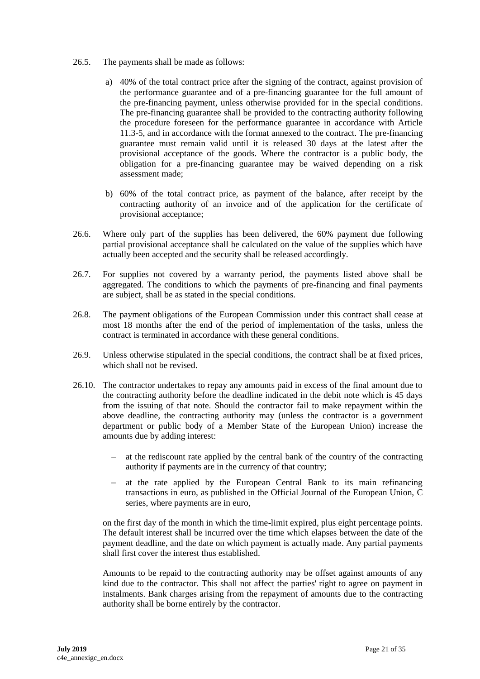- 26.5. The payments shall be made as follows:
	- a) 40% of the total contract price after the signing of the contract, against provision of the performance guarantee and of a pre-financing guarantee for the full amount of the pre-financing payment, unless otherwise provided for in the special conditions. The pre-financing guarantee shall be provided to the contracting authority following the procedure foreseen for the performance guarantee in accordance with Article 11.3-5, and in accordance with the format annexed to the contract. The pre-financing guarantee must remain valid until it is released 30 days at the latest after the provisional acceptance of the goods. Where the contractor is a public body, the obligation for a pre-financing guarantee may be waived depending on a risk assessment made;
	- b) 60% of the total contract price, as payment of the balance, after receipt by the contracting authority of an invoice and of the application for the certificate of provisional acceptance;
- 26.6. Where only part of the supplies has been delivered, the 60% payment due following partial provisional acceptance shall be calculated on the value of the supplies which have actually been accepted and the security shall be released accordingly.
- 26.7. For supplies not covered by a warranty period, the payments listed above shall be aggregated. The conditions to which the payments of pre-financing and final payments are subject, shall be as stated in the special conditions.
- 26.8. The payment obligations of the European Commission under this contract shall cease at most 18 months after the end of the period of implementation of the tasks, unless the contract is terminated in accordance with these general conditions.
- 26.9. Unless otherwise stipulated in the special conditions, the contract shall be at fixed prices, which shall not be revised.
- 26.10. The contractor undertakes to repay any amounts paid in excess of the final amount due to the contracting authority before the deadline indicated in the debit note which is 45 days from the issuing of that note. Should the contractor fail to make repayment within the above deadline, the contracting authority may (unless the contractor is a government department or public body of a Member State of the European Union) increase the amounts due by adding interest:
	- $\alpha$  at the rediscount rate applied by the central bank of the country of the contracting authority if payments are in the currency of that country;
	- at the rate applied by the European Central Bank to its main refinancing transactions in euro, as published in the Official Journal of the European Union, C series, where payments are in euro,

on the first day of the month in which the time-limit expired, plus eight percentage points. The default interest shall be incurred over the time which elapses between the date of the payment deadline, and the date on which payment is actually made. Any partial payments shall first cover the interest thus established.

Amounts to be repaid to the contracting authority may be offset against amounts of any kind due to the contractor. This shall not affect the parties' right to agree on payment in instalments. Bank charges arising from the repayment of amounts due to the contracting authority shall be borne entirely by the contractor.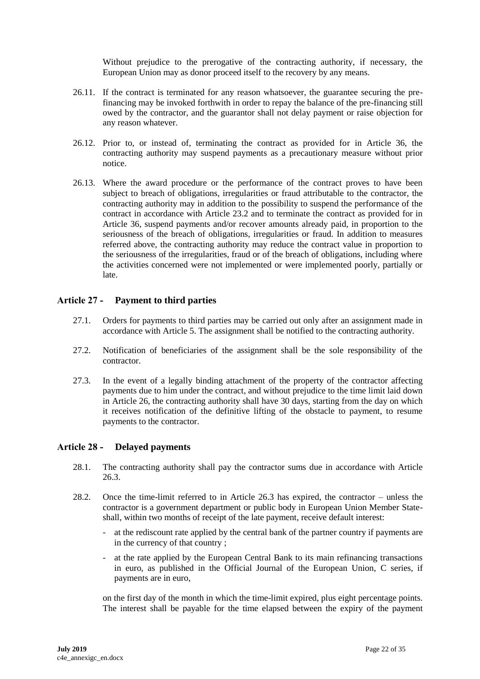Without prejudice to the prerogative of the contracting authority, if necessary, the European Union may as donor proceed itself to the recovery by any means.

- 26.11. If the contract is terminated for any reason whatsoever, the guarantee securing the prefinancing may be invoked forthwith in order to repay the balance of the pre-financing still owed by the contractor, and the guarantor shall not delay payment or raise objection for any reason whatever.
- 26.12. Prior to, or instead of, terminating the contract as provided for in Article 36, the contracting authority may suspend payments as a precautionary measure without prior notice.
- 26.13. Where the award procedure or the performance of the contract proves to have been subject to breach of obligations, irregularities or fraud attributable to the contractor, the contracting authority may in addition to the possibility to suspend the performance of the contract in accordance with Article 23.2 and to terminate the contract as provided for in Article 36, suspend payments and/or recover amounts already paid, in proportion to the seriousness of the breach of obligations, irregularities or fraud. In addition to measures referred above, the contracting authority may reduce the contract value in proportion to the seriousness of the irregularities, fraud or of the breach of obligations, including where the activities concerned were not implemented or were implemented poorly, partially or late.

### <span id="page-21-0"></span>**Article 27 - Payment to third parties**

- 27.1. Orders for payments to third parties may be carried out only after an assignment made in accordance with Article 5. The assignment shall be notified to the contracting authority.
- 27.2. Notification of beneficiaries of the assignment shall be the sole responsibility of the contractor.
- 27.3. In the event of a legally binding attachment of the property of the contractor affecting payments due to him under the contract, and without prejudice to the time limit laid down in Article 26, the contracting authority shall have 30 days, starting from the day on which it receives notification of the definitive lifting of the obstacle to payment, to resume payments to the contractor.

### <span id="page-21-1"></span>**Article 28 - Delayed payments**

- 28.1. The contracting authority shall pay the contractor sums due in accordance with Article 26.3.
- 28.2. Once the time-limit referred to in Article 26.3 has expired, the contractor unless the contractor is a government department or public body in European Union Member Stateshall, within two months of receipt of the late payment, receive default interest:
	- at the rediscount rate applied by the central bank of the partner country if payments are in the currency of that country ;
	- at the rate applied by the European Central Bank to its main refinancing transactions in euro, as published in the Official Journal of the European Union, C series, if payments are in euro,

on the first day of the month in which the time-limit expired, plus eight percentage points. The interest shall be payable for the time elapsed between the expiry of the payment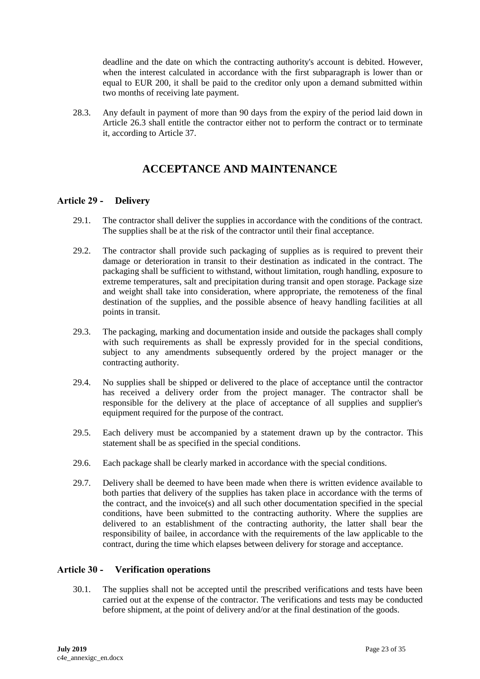deadline and the date on which the contracting authority's account is debited. However, when the interest calculated in accordance with the first subparagraph is lower than or equal to EUR 200, it shall be paid to the creditor only upon a demand submitted within two months of receiving late payment.

<span id="page-22-0"></span>28.3. Any default in payment of more than 90 days from the expiry of the period laid down in Article 26.3 shall entitle the contractor either not to perform the contract or to terminate it, according to Article 37.

# **ACCEPTANCE AND MAINTENANCE**

### <span id="page-22-1"></span>**Article 29 - Delivery**

- 29.1. The contractor shall deliver the supplies in accordance with the conditions of the contract. The supplies shall be at the risk of the contractor until their final acceptance.
- 29.2. The contractor shall provide such packaging of supplies as is required to prevent their damage or deterioration in transit to their destination as indicated in the contract. The packaging shall be sufficient to withstand, without limitation, rough handling, exposure to extreme temperatures, salt and precipitation during transit and open storage. Package size and weight shall take into consideration, where appropriate, the remoteness of the final destination of the supplies, and the possible absence of heavy handling facilities at all points in transit.
- 29.3. The packaging, marking and documentation inside and outside the packages shall comply with such requirements as shall be expressly provided for in the special conditions, subject to any amendments subsequently ordered by the project manager or the contracting authority.
- 29.4. No supplies shall be shipped or delivered to the place of acceptance until the contractor has received a delivery order from the project manager. The contractor shall be responsible for the delivery at the place of acceptance of all supplies and supplier's equipment required for the purpose of the contract.
- 29.5. Each delivery must be accompanied by a statement drawn up by the contractor. This statement shall be as specified in the special conditions.
- 29.6. Each package shall be clearly marked in accordance with the special conditions.
- 29.7. Delivery shall be deemed to have been made when there is written evidence available to both parties that delivery of the supplies has taken place in accordance with the terms of the contract, and the invoice(s) and all such other documentation specified in the special conditions, have been submitted to the contracting authority. Where the supplies are delivered to an establishment of the contracting authority, the latter shall bear the responsibility of bailee, in accordance with the requirements of the law applicable to the contract, during the time which elapses between delivery for storage and acceptance.

## <span id="page-22-2"></span>**Article 30 - Verification operations**

30.1. The supplies shall not be accepted until the prescribed verifications and tests have been carried out at the expense of the contractor. The verifications and tests may be conducted before shipment, at the point of delivery and/or at the final destination of the goods.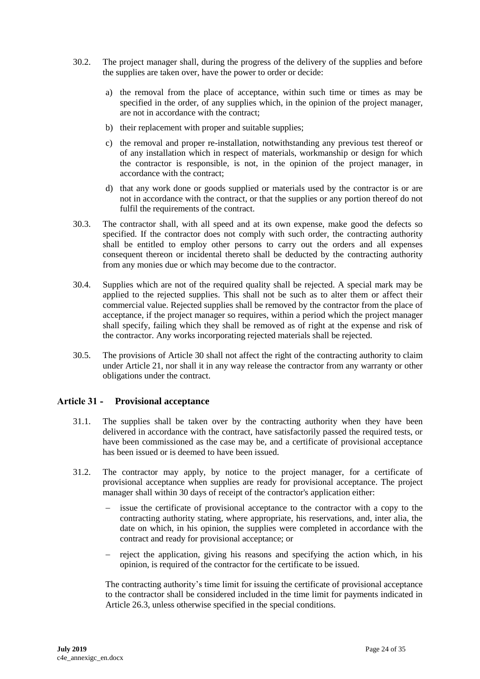- 30.2. The project manager shall, during the progress of the delivery of the supplies and before the supplies are taken over, have the power to order or decide:
	- a) the removal from the place of acceptance, within such time or times as may be specified in the order, of any supplies which, in the opinion of the project manager, are not in accordance with the contract;
	- b) their replacement with proper and suitable supplies;
	- c) the removal and proper re-installation, notwithstanding any previous test thereof or of any installation which in respect of materials, workmanship or design for which the contractor is responsible, is not, in the opinion of the project manager, in accordance with the contract;
	- d) that any work done or goods supplied or materials used by the contractor is or are not in accordance with the contract, or that the supplies or any portion thereof do not fulfil the requirements of the contract.
- 30.3. The contractor shall, with all speed and at its own expense, make good the defects so specified. If the contractor does not comply with such order, the contracting authority shall be entitled to employ other persons to carry out the orders and all expenses consequent thereon or incidental thereto shall be deducted by the contracting authority from any monies due or which may become due to the contractor.
- 30.4. Supplies which are not of the required quality shall be rejected. A special mark may be applied to the rejected supplies. This shall not be such as to alter them or affect their commercial value. Rejected supplies shall be removed by the contractor from the place of acceptance, if the project manager so requires, within a period which the project manager shall specify, failing which they shall be removed as of right at the expense and risk of the contractor. Any works incorporating rejected materials shall be rejected.
- 30.5. The provisions of Article 30 shall not affect the right of the contracting authority to claim under Article 21, nor shall it in any way release the contractor from any warranty or other obligations under the contract.

### <span id="page-23-0"></span>**Article 31 - Provisional acceptance**

- 31.1. The supplies shall be taken over by the contracting authority when they have been delivered in accordance with the contract, have satisfactorily passed the required tests, or have been commissioned as the case may be, and a certificate of provisional acceptance has been issued or is deemed to have been issued.
- 31.2. The contractor may apply, by notice to the project manager, for a certificate of provisional acceptance when supplies are ready for provisional acceptance. The project manager shall within 30 days of receipt of the contractor's application either:
	- issue the certificate of provisional acceptance to the contractor with a copy to the contracting authority stating, where appropriate, his reservations, and, inter alia, the date on which, in his opinion, the supplies were completed in accordance with the contract and ready for provisional acceptance; or
	- reject the application, giving his reasons and specifying the action which, in his opinion, is required of the contractor for the certificate to be issued.

The contracting authority's time limit for issuing the certificate of provisional acceptance to the contractor shall be considered included in the time limit for payments indicated in Article 26.3, unless otherwise specified in the special conditions.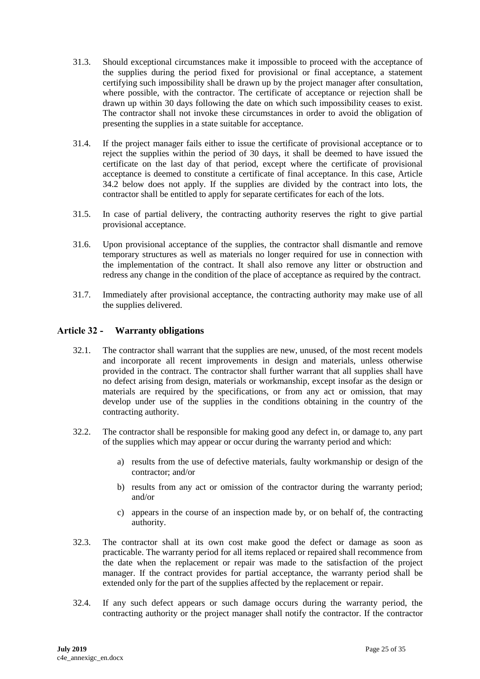- 31.3. Should exceptional circumstances make it impossible to proceed with the acceptance of the supplies during the period fixed for provisional or final acceptance, a statement certifying such impossibility shall be drawn up by the project manager after consultation, where possible, with the contractor. The certificate of acceptance or rejection shall be drawn up within 30 days following the date on which such impossibility ceases to exist. The contractor shall not invoke these circumstances in order to avoid the obligation of presenting the supplies in a state suitable for acceptance.
- 31.4. If the project manager fails either to issue the certificate of provisional acceptance or to reject the supplies within the period of 30 days, it shall be deemed to have issued the certificate on the last day of that period, except where the certificate of provisional acceptance is deemed to constitute a certificate of final acceptance. In this case, Article 34.2 below does not apply. If the supplies are divided by the contract into lots, the contractor shall be entitled to apply for separate certificates for each of the lots.
- 31.5. In case of partial delivery, the contracting authority reserves the right to give partial provisional acceptance.
- 31.6. Upon provisional acceptance of the supplies, the contractor shall dismantle and remove temporary structures as well as materials no longer required for use in connection with the implementation of the contract. It shall also remove any litter or obstruction and redress any change in the condition of the place of acceptance as required by the contract.
- 31.7. Immediately after provisional acceptance, the contracting authority may make use of all the supplies delivered.

### <span id="page-24-0"></span>**Article 32 - Warranty obligations**

- 32.1. The contractor shall warrant that the supplies are new, unused, of the most recent models and incorporate all recent improvements in design and materials, unless otherwise provided in the contract. The contractor shall further warrant that all supplies shall have no defect arising from design, materials or workmanship, except insofar as the design or materials are required by the specifications, or from any act or omission, that may develop under use of the supplies in the conditions obtaining in the country of the contracting authority.
- 32.2. The contractor shall be responsible for making good any defect in, or damage to, any part of the supplies which may appear or occur during the warranty period and which:
	- a) results from the use of defective materials, faulty workmanship or design of the contractor; and/or
	- b) results from any act or omission of the contractor during the warranty period; and/or
	- c) appears in the course of an inspection made by, or on behalf of, the contracting authority.
- 32.3. The contractor shall at its own cost make good the defect or damage as soon as practicable. The warranty period for all items replaced or repaired shall recommence from the date when the replacement or repair was made to the satisfaction of the project manager. If the contract provides for partial acceptance, the warranty period shall be extended only for the part of the supplies affected by the replacement or repair.
- 32.4. If any such defect appears or such damage occurs during the warranty period, the contracting authority or the project manager shall notify the contractor. If the contractor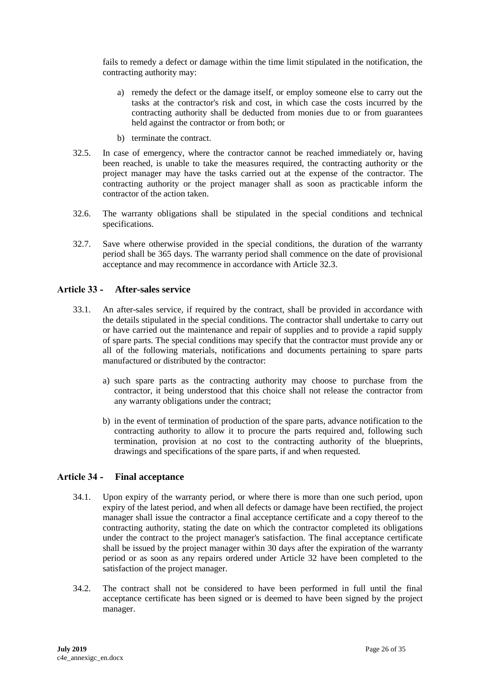fails to remedy a defect or damage within the time limit stipulated in the notification, the contracting authority may:

- a) remedy the defect or the damage itself, or employ someone else to carry out the tasks at the contractor's risk and cost, in which case the costs incurred by the contracting authority shall be deducted from monies due to or from guarantees held against the contractor or from both; or
- b) terminate the contract.
- 32.5. In case of emergency, where the contractor cannot be reached immediately or, having been reached, is unable to take the measures required, the contracting authority or the project manager may have the tasks carried out at the expense of the contractor. The contracting authority or the project manager shall as soon as practicable inform the contractor of the action taken.
- 32.6. The warranty obligations shall be stipulated in the special conditions and technical specifications.
- 32.7. Save where otherwise provided in the special conditions, the duration of the warranty period shall be 365 days. The warranty period shall commence on the date of provisional acceptance and may recommence in accordance with Article 32.3.

### <span id="page-25-0"></span>**Article 33 - After-sales service**

- 33.1. An after-sales service, if required by the contract, shall be provided in accordance with the details stipulated in the special conditions. The contractor shall undertake to carry out or have carried out the maintenance and repair of supplies and to provide a rapid supply of spare parts. The special conditions may specify that the contractor must provide any or all of the following materials, notifications and documents pertaining to spare parts manufactured or distributed by the contractor:
	- a) such spare parts as the contracting authority may choose to purchase from the contractor, it being understood that this choice shall not release the contractor from any warranty obligations under the contract;
	- b) in the event of termination of production of the spare parts, advance notification to the contracting authority to allow it to procure the parts required and, following such termination, provision at no cost to the contracting authority of the blueprints, drawings and specifications of the spare parts, if and when requested.

### <span id="page-25-1"></span>**Article 34 - Final acceptance**

- 34.1. Upon expiry of the warranty period, or where there is more than one such period, upon expiry of the latest period, and when all defects or damage have been rectified, the project manager shall issue the contractor a final acceptance certificate and a copy thereof to the contracting authority, stating the date on which the contractor completed its obligations under the contract to the project manager's satisfaction. The final acceptance certificate shall be issued by the project manager within 30 days after the expiration of the warranty period or as soon as any repairs ordered under Article 32 have been completed to the satisfaction of the project manager.
- 34.2. The contract shall not be considered to have been performed in full until the final acceptance certificate has been signed or is deemed to have been signed by the project manager.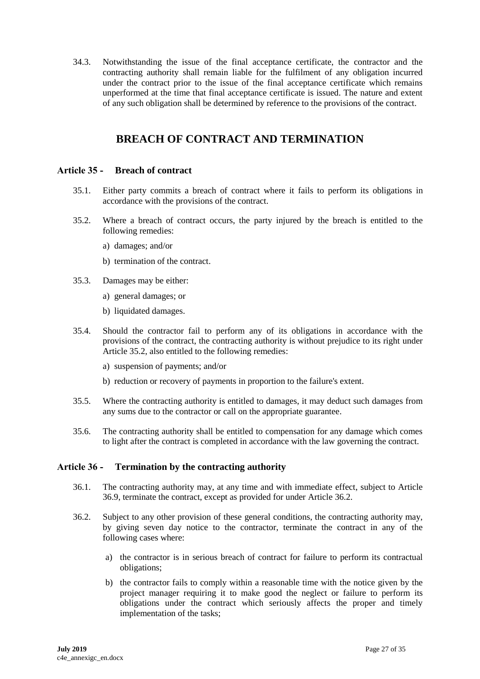34.3. Notwithstanding the issue of the final acceptance certificate, the contractor and the contracting authority shall remain liable for the fulfilment of any obligation incurred under the contract prior to the issue of the final acceptance certificate which remains unperformed at the time that final acceptance certificate is issued. The nature and extent of any such obligation shall be determined by reference to the provisions of the contract.

# **BREACH OF CONTRACT AND TERMINATION**

#### <span id="page-26-1"></span><span id="page-26-0"></span>**Article 35 - Breach of contract**

- 35.1. Either party commits a breach of contract where it fails to perform its obligations in accordance with the provisions of the contract.
- 35.2. Where a breach of contract occurs, the party injured by the breach is entitled to the following remedies:
	- a) damages; and/or
	- b) termination of the contract.
- 35.3. Damages may be either:
	- a) general damages; or
	- b) liquidated damages.
- 35.4. Should the contractor fail to perform any of its obligations in accordance with the provisions of the contract, the contracting authority is without prejudice to its right under Article 35.2, also entitled to the following remedies:
	- a) suspension of payments; and/or
	- b) reduction or recovery of payments in proportion to the failure's extent.
- 35.5. Where the contracting authority is entitled to damages, it may deduct such damages from any sums due to the contractor or call on the appropriate guarantee.
- 35.6. The contracting authority shall be entitled to compensation for any damage which comes to light after the contract is completed in accordance with the law governing the contract.

#### <span id="page-26-2"></span>**Article 36 - Termination by the contracting authority**

- 36.1. The contracting authority may, at any time and with immediate effect, subject to Article 36.9, terminate the contract, except as provided for under Article 36.2.
- 36.2. Subject to any other provision of these general conditions, the contracting authority may, by giving seven day notice to the contractor, terminate the contract in any of the following cases where:
	- a) the contractor is in serious breach of contract for failure to perform its contractual obligations;
	- b) the contractor fails to comply within a reasonable time with the notice given by the project manager requiring it to make good the neglect or failure to perform its obligations under the contract which seriously affects the proper and timely implementation of the tasks;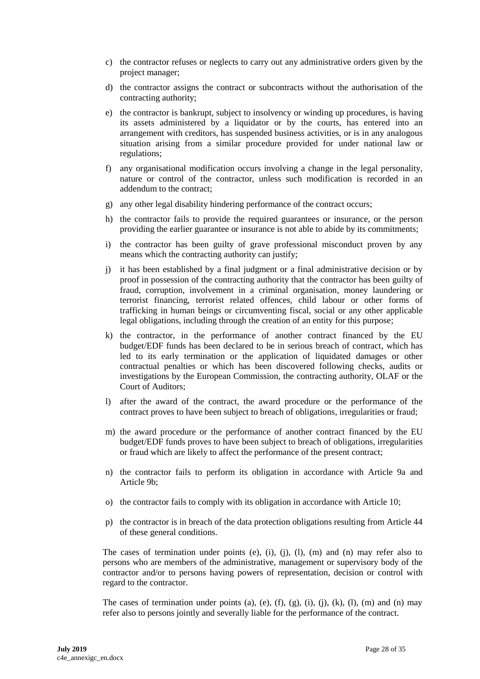- c) the contractor refuses or neglects to carry out any administrative orders given by the project manager;
- d) the contractor assigns the contract or subcontracts without the authorisation of the contracting authority;
- e) the contractor is bankrupt, subject to insolvency or winding up procedures, is having its assets administered by a liquidator or by the courts, has entered into an arrangement with creditors, has suspended business activities, or is in any analogous situation arising from a similar procedure provided for under national law or regulations;
- f) any organisational modification occurs involving a change in the legal personality, nature or control of the contractor, unless such modification is recorded in an addendum to the contract;
- g) any other legal disability hindering performance of the contract occurs;
- h) the contractor fails to provide the required guarantees or insurance, or the person providing the earlier guarantee or insurance is not able to abide by its commitments;
- i) the contractor has been guilty of grave professional misconduct proven by any means which the contracting authority can justify;
- j) it has been established by a final judgment or a final administrative decision or by proof in possession of the contracting authority that the contractor has been guilty of fraud, corruption, involvement in a criminal organisation, money laundering or terrorist financing, terrorist related offences, child labour or other forms of trafficking in human beings or circumventing fiscal, social or any other applicable legal obligations, including through the creation of an entity for this purpose;
- k) the contractor, in the performance of another contract financed by the EU budget/EDF funds has been declared to be in serious breach of contract, which has led to its early termination or the application of liquidated damages or other contractual penalties or which has been discovered following checks, audits or investigations by the European Commission, the contracting authority, OLAF or the Court of Auditors;
- l) after the award of the contract, the award procedure or the performance of the contract proves to have been subject to breach of obligations, irregularities or fraud;
- m) the award procedure or the performance of another contract financed by the EU budget/EDF funds proves to have been subject to breach of obligations, irregularities or fraud which are likely to affect the performance of the present contract;
- n) the contractor fails to perform its obligation in accordance with Article 9a and Article 9b;
- o) the contractor fails to comply with its obligation in accordance with Article 10;
- p) the contractor is in breach of the data protection obligations resulting from Article 44 of these general conditions.

The cases of termination under points (e), (i), (j), (l), (m) and (n) may refer also to persons who are members of the administrative, management or supervisory body of the contractor and/or to persons having powers of representation, decision or control with regard to the contractor.

The cases of termination under points (a), (e), (f), (g), (i), (j), (k), (l), (m) and (n) may refer also to persons jointly and severally liable for the performance of the contract.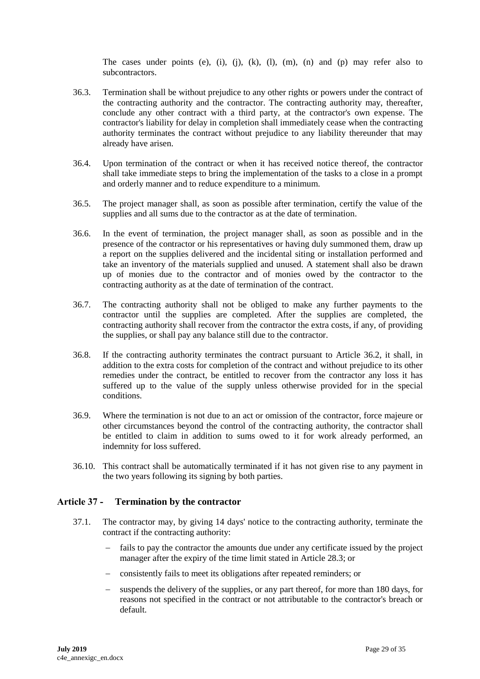The cases under points (e), (i), (j), (k), (l), (m), (n) and (p) may refer also to subcontractors.

- 36.3. Termination shall be without prejudice to any other rights or powers under the contract of the contracting authority and the contractor. The contracting authority may, thereafter, conclude any other contract with a third party, at the contractor's own expense. The contractor's liability for delay in completion shall immediately cease when the contracting authority terminates the contract without prejudice to any liability thereunder that may already have arisen.
- 36.4. Upon termination of the contract or when it has received notice thereof, the contractor shall take immediate steps to bring the implementation of the tasks to a close in a prompt and orderly manner and to reduce expenditure to a minimum.
- 36.5. The project manager shall, as soon as possible after termination, certify the value of the supplies and all sums due to the contractor as at the date of termination.
- 36.6. In the event of termination, the project manager shall, as soon as possible and in the presence of the contractor or his representatives or having duly summoned them, draw up a report on the supplies delivered and the incidental siting or installation performed and take an inventory of the materials supplied and unused. A statement shall also be drawn up of monies due to the contractor and of monies owed by the contractor to the contracting authority as at the date of termination of the contract.
- 36.7. The contracting authority shall not be obliged to make any further payments to the contractor until the supplies are completed. After the supplies are completed, the contracting authority shall recover from the contractor the extra costs, if any, of providing the supplies, or shall pay any balance still due to the contractor.
- 36.8. If the contracting authority terminates the contract pursuant to Article 36.2, it shall, in addition to the extra costs for completion of the contract and without prejudice to its other remedies under the contract, be entitled to recover from the contractor any loss it has suffered up to the value of the supply unless otherwise provided for in the special conditions.
- 36.9. Where the termination is not due to an act or omission of the contractor, force majeure or other circumstances beyond the control of the contracting authority, the contractor shall be entitled to claim in addition to sums owed to it for work already performed, an indemnity for loss suffered.
- 36.10. This contract shall be automatically terminated if it has not given rise to any payment in the two years following its signing by both parties.

### <span id="page-28-0"></span>**Article 37 - Termination by the contractor**

- 37.1. The contractor may, by giving 14 days' notice to the contracting authority, terminate the contract if the contracting authority:
	- fails to pay the contractor the amounts due under any certificate issued by the project manager after the expiry of the time limit stated in Article 28.3; or
	- consistently fails to meet its obligations after repeated reminders; or
	- suspends the delivery of the supplies, or any part thereof, for more than 180 days, for reasons not specified in the contract or not attributable to the contractor's breach or default.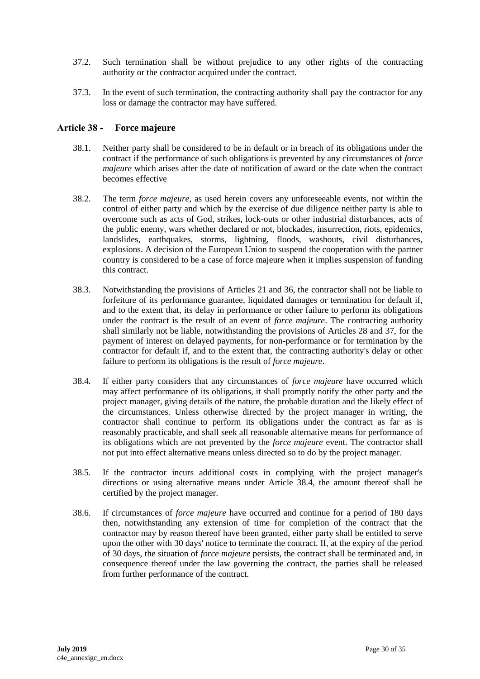- 37.2. Such termination shall be without prejudice to any other rights of the contracting authority or the contractor acquired under the contract.
- 37.3. In the event of such termination, the contracting authority shall pay the contractor for any loss or damage the contractor may have suffered.

#### <span id="page-29-0"></span>**Article 38 - Force majeure**

- 38.1. Neither party shall be considered to be in default or in breach of its obligations under the contract if the performance of such obligations is prevented by any circumstances of *force majeure* which arises after the date of notification of award or the date when the contract becomes effective
- 38.2. The term *force majeure*, as used herein covers any unforeseeable events, not within the control of either party and which by the exercise of due diligence neither party is able to overcome such as acts of God, strikes, lock-outs or other industrial disturbances, acts of the public enemy, wars whether declared or not, blockades, insurrection, riots, epidemics, landslides, earthquakes, storms, lightning, floods, washouts, civil disturbances, explosions. A decision of the European Union to suspend the cooperation with the partner country is considered to be a case of force majeure when it implies suspension of funding this contract.
- 38.3. Notwithstanding the provisions of Articles 21 and 36, the contractor shall not be liable to forfeiture of its performance guarantee, liquidated damages or termination for default if, and to the extent that, its delay in performance or other failure to perform its obligations under the contract is the result of an event of *force majeure*. The contracting authority shall similarly not be liable, notwithstanding the provisions of Articles 28 and 37, for the payment of interest on delayed payments, for non-performance or for termination by the contractor for default if, and to the extent that, the contracting authority's delay or other failure to perform its obligations is the result of *force majeure*.
- 38.4. If either party considers that any circumstances of *force majeure* have occurred which may affect performance of its obligations, it shall promptly notify the other party and the project manager, giving details of the nature, the probable duration and the likely effect of the circumstances. Unless otherwise directed by the project manager in writing, the contractor shall continue to perform its obligations under the contract as far as is reasonably practicable, and shall seek all reasonable alternative means for performance of its obligations which are not prevented by the *force majeure* event. The contractor shall not put into effect alternative means unless directed so to do by the project manager.
- 38.5. If the contractor incurs additional costs in complying with the project manager's directions or using alternative means under Article 38.4, the amount thereof shall be certified by the project manager.
- 38.6. If circumstances of *force majeure* have occurred and continue for a period of 180 days then, notwithstanding any extension of time for completion of the contract that the contractor may by reason thereof have been granted, either party shall be entitled to serve upon the other with 30 days' notice to terminate the contract. If, at the expiry of the period of 30 days, the situation of *force majeure* persists, the contract shall be terminated and, in consequence thereof under the law governing the contract, the parties shall be released from further performance of the contract.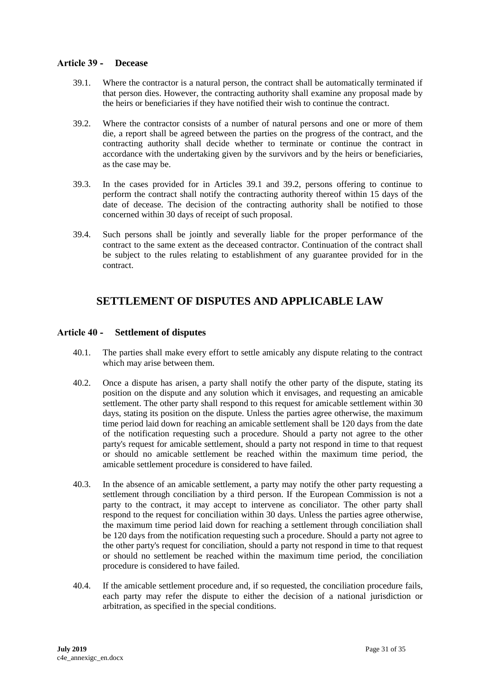#### <span id="page-30-0"></span>**Article 39 - Decease**

- 39.1. Where the contractor is a natural person, the contract shall be automatically terminated if that person dies. However, the contracting authority shall examine any proposal made by the heirs or beneficiaries if they have notified their wish to continue the contract.
- 39.2. Where the contractor consists of a number of natural persons and one or more of them die, a report shall be agreed between the parties on the progress of the contract, and the contracting authority shall decide whether to terminate or continue the contract in accordance with the undertaking given by the survivors and by the heirs or beneficiaries, as the case may be.
- 39.3. In the cases provided for in Articles 39.1 and 39.2, persons offering to continue to perform the contract shall notify the contracting authority thereof within 15 days of the date of decease. The decision of the contracting authority shall be notified to those concerned within 30 days of receipt of such proposal.
- 39.4. Such persons shall be jointly and severally liable for the proper performance of the contract to the same extent as the deceased contractor. Continuation of the contract shall be subject to the rules relating to establishment of any guarantee provided for in the contract.

## <span id="page-30-1"></span>**SETTLEMENT OF DISPUTES AND APPLICABLE LAW**

#### <span id="page-30-2"></span>**Article 40 - Settlement of disputes**

- 40.1. The parties shall make every effort to settle amicably any dispute relating to the contract which may arise between them.
- 40.2. Once a dispute has arisen, a party shall notify the other party of the dispute, stating its position on the dispute and any solution which it envisages, and requesting an amicable settlement. The other party shall respond to this request for amicable settlement within 30 days, stating its position on the dispute. Unless the parties agree otherwise, the maximum time period laid down for reaching an amicable settlement shall be 120 days from the date of the notification requesting such a procedure. Should a party not agree to the other party's request for amicable settlement, should a party not respond in time to that request or should no amicable settlement be reached within the maximum time period, the amicable settlement procedure is considered to have failed.
- 40.3. In the absence of an amicable settlement, a party may notify the other party requesting a settlement through conciliation by a third person. If the European Commission is not a party to the contract, it may accept to intervene as conciliator. The other party shall respond to the request for conciliation within 30 days. Unless the parties agree otherwise, the maximum time period laid down for reaching a settlement through conciliation shall be 120 days from the notification requesting such a procedure. Should a party not agree to the other party's request for conciliation, should a party not respond in time to that request or should no settlement be reached within the maximum time period, the conciliation procedure is considered to have failed.
- 40.4. If the amicable settlement procedure and, if so requested, the conciliation procedure fails, each party may refer the dispute to either the decision of a national jurisdiction or arbitration, as specified in the special conditions.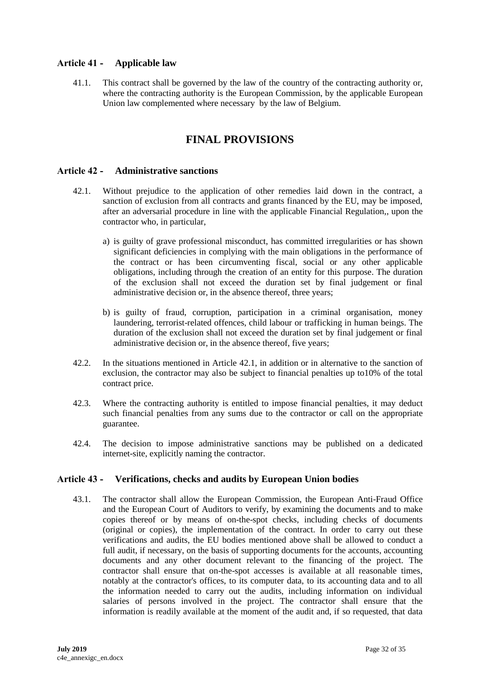## <span id="page-31-0"></span>**Article 41 - Applicable law**

<span id="page-31-1"></span>41.1. This contract shall be governed by the law of the country of the contracting authority or, where the contracting authority is the European Commission, by the applicable European Union law complemented where necessary by the law of Belgium.

# **FINAL PROVISIONS**

#### <span id="page-31-2"></span>**Article 42 - Administrative sanctions**

- 42.1. Without prejudice to the application of other remedies laid down in the contract, a sanction of exclusion from all contracts and grants financed by the EU, may be imposed, after an adversarial procedure in line with the applicable Financial Regulation,, upon the contractor who, in particular,
	- a) is guilty of grave professional misconduct, has committed irregularities or has shown significant deficiencies in complying with the main obligations in the performance of the contract or has been circumventing fiscal, social or any other applicable obligations, including through the creation of an entity for this purpose. The duration of the exclusion shall not exceed the duration set by final judgement or final administrative decision or, in the absence thereof, three years;
	- b) is guilty of fraud, corruption, participation in a criminal organisation, money laundering, terrorist-related offences, child labour or trafficking in human beings. The duration of the exclusion shall not exceed the duration set by final judgement or final administrative decision or, in the absence thereof, five years;
- 42.2. In the situations mentioned in Article 42.1, in addition or in alternative to the sanction of exclusion, the contractor may also be subject to financial penalties up to10% of the total contract price.
- 42.3. Where the contracting authority is entitled to impose financial penalties, it may deduct such financial penalties from any sums due to the contractor or call on the appropriate guarantee.
- 42.4. The decision to impose administrative sanctions may be published on a dedicated internet-site, explicitly naming the contractor.

### <span id="page-31-3"></span>**Article 43 - Verifications, checks and audits by European Union bodies**

43.1. The contractor shall allow the European Commission, the European Anti-Fraud Office and the European Court of Auditors to verify, by examining the documents and to make copies thereof or by means of on-the-spot checks, including checks of documents (original or copies), the implementation of the contract. In order to carry out these verifications and audits, the EU bodies mentioned above shall be allowed to conduct a full audit, if necessary, on the basis of supporting documents for the accounts, accounting documents and any other document relevant to the financing of the project. The contractor shall ensure that on-the-spot accesses is available at all reasonable times, notably at the contractor's offices, to its computer data, to its accounting data and to all the information needed to carry out the audits, including information on individual salaries of persons involved in the project. The contractor shall ensure that the information is readily available at the moment of the audit and, if so requested, that data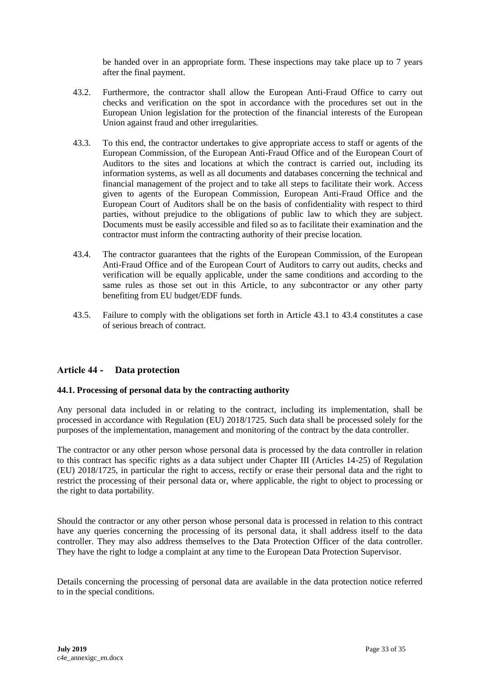be handed over in an appropriate form. These inspections may take place up to 7 years after the final payment.

- 43.2. Furthermore, the contractor shall allow the European Anti-Fraud Office to carry out checks and verification on the spot in accordance with the procedures set out in the European Union legislation for the protection of the financial interests of the European Union against fraud and other irregularities.
- 43.3. To this end, the contractor undertakes to give appropriate access to staff or agents of the European Commission, of the European Anti-Fraud Office and of the European Court of Auditors to the sites and locations at which the contract is carried out, including its information systems, as well as all documents and databases concerning the technical and financial management of the project and to take all steps to facilitate their work. Access given to agents of the European Commission, European Anti-Fraud Office and the European Court of Auditors shall be on the basis of confidentiality with respect to third parties, without prejudice to the obligations of public law to which they are subject. Documents must be easily accessible and filed so as to facilitate their examination and the contractor must inform the contracting authority of their precise location.
- 43.4. The contractor guarantees that the rights of the European Commission, of the European Anti-Fraud Office and of the European Court of Auditors to carry out audits, checks and verification will be equally applicable, under the same conditions and according to the same rules as those set out in this Article, to any subcontractor or any other party benefiting from EU budget/EDF funds.
- 43.5. Failure to comply with the obligations set forth in Article 43.1 to 43.4 constitutes a case of serious breach of contract.

### <span id="page-32-0"></span>**Article 44 - Data protection**

#### **44.1. Processing of personal data by the contracting authority**

Any personal data included in or relating to the contract, including its implementation, shall be processed in accordance with Regulation (EU) 2018/1725. Such data shall be processed solely for the purposes of the implementation, management and monitoring of the contract by the data controller.

The contractor or any other person whose personal data is processed by the data controller in relation to this contract has specific rights as a data subject under Chapter III (Articles 14-25) of Regulation (EU) 2018/1725, in particular the right to access, rectify or erase their personal data and the right to restrict the processing of their personal data or, where applicable, the right to object to processing or the right to data portability.

Should the contractor or any other person whose personal data is processed in relation to this contract have any queries concerning the processing of its personal data, it shall address itself to the data controller. They may also address themselves to the Data Protection Officer of the data controller. They have the right to lodge a complaint at any time to the European Data Protection Supervisor.

Details concerning the processing of personal data are available in the data protection notice referred to in the special conditions.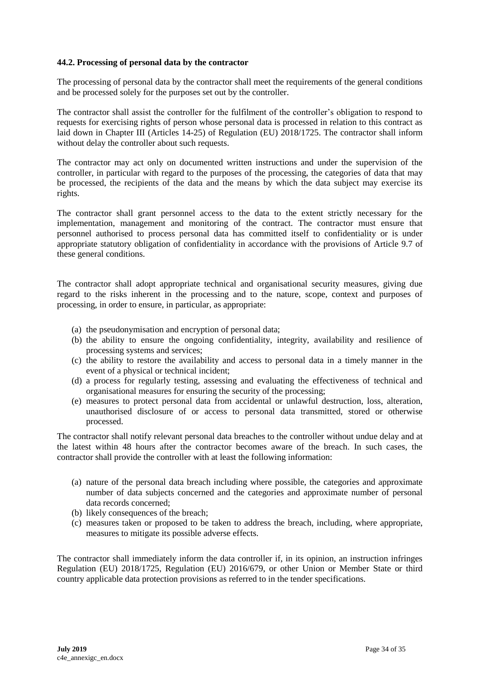#### **44.2. Processing of personal data by the contractor**

The processing of personal data by the contractor shall meet the requirements of the general conditions and be processed solely for the purposes set out by the controller.

The contractor shall assist the controller for the fulfilment of the controller's obligation to respond to requests for exercising rights of person whose personal data is processed in relation to this contract as laid down in Chapter III (Articles 14-25) of Regulation (EU) 2018/1725. The contractor shall inform without delay the controller about such requests.

The contractor may act only on documented written instructions and under the supervision of the controller, in particular with regard to the purposes of the processing, the categories of data that may be processed, the recipients of the data and the means by which the data subject may exercise its rights.

The contractor shall grant personnel access to the data to the extent strictly necessary for the implementation, management and monitoring of the contract. The contractor must ensure that personnel authorised to process personal data has committed itself to confidentiality or is under appropriate statutory obligation of confidentiality in accordance with the provisions of Article 9.7 of these general conditions.

The contractor shall adopt appropriate technical and organisational security measures, giving due regard to the risks inherent in the processing and to the nature, scope, context and purposes of processing, in order to ensure, in particular, as appropriate:

- (a) the pseudonymisation and encryption of personal data;
- (b) the ability to ensure the ongoing confidentiality, integrity, availability and resilience of processing systems and services;
- (c) the ability to restore the availability and access to personal data in a timely manner in the event of a physical or technical incident;
- (d) a process for regularly testing, assessing and evaluating the effectiveness of technical and organisational measures for ensuring the security of the processing;
- (e) measures to protect personal data from accidental or unlawful destruction, loss, alteration, unauthorised disclosure of or access to personal data transmitted, stored or otherwise processed.

The contractor shall notify relevant personal data breaches to the controller without undue delay and at the latest within 48 hours after the contractor becomes aware of the breach. In such cases, the contractor shall provide the controller with at least the following information:

- (a) nature of the personal data breach including where possible, the categories and approximate number of data subjects concerned and the categories and approximate number of personal data records concerned;
- (b) likely consequences of the breach;
- (c) measures taken or proposed to be taken to address the breach, including, where appropriate, measures to mitigate its possible adverse effects.

The contractor shall immediately inform the data controller if, in its opinion, an instruction infringes Regulation (EU) 2018/1725, Regulation (EU) 2016/679, or other Union or Member State or third country applicable data protection provisions as referred to in the tender specifications.